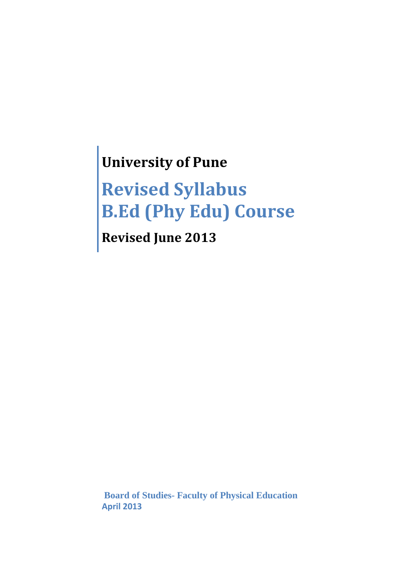# **University of Pune**

# **Revised Syllabus B.Ed (Phy Edu) Course**

**Revised June 2013**

 **Board of Studies- Faculty of Physical Education April 2013**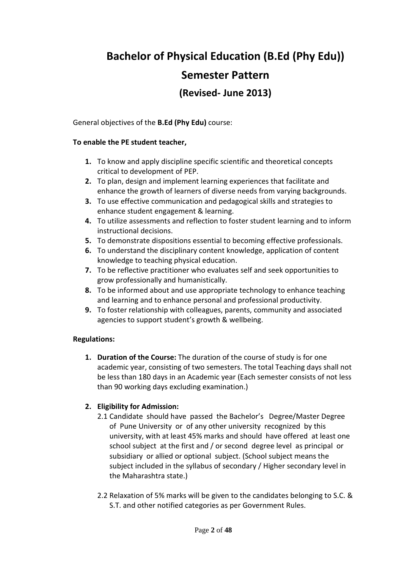# **Bachelor of Physical Education (B.Ed (Phy Edu)) Semester Pattern (Revised- June 2013)**

General objectives of the **B.Ed (Phy Edu)** course:

### **To enable the PE student teacher,**

- **1.** To know and apply discipline specific scientific and theoretical concepts critical to development of PEP.
- **2.** To plan, design and implement learning experiences that facilitate and enhance the growth of learners of diverse needs from varying backgrounds.
- **3.** To use effective communication and pedagogical skills and strategies to enhance student engagement & learning.
- **4.** To utilize assessments and reflection to foster student learning and to inform instructional decisions.
- **5.** To demonstrate dispositions essential to becoming effective professionals.
- **6.** To understand the disciplinary content knowledge, application of content knowledge to teaching physical education.
- **7.** To be reflective practitioner who evaluates self and seek opportunities to grow professionally and humanistically.
- **8.** To be informed about and use appropriate technology to enhance teaching and learning and to enhance personal and professional productivity.
- **9.** To foster relationship with colleagues, parents, community and associated agencies to support student's growth & wellbeing.

### **Regulations:**

**1. Duration of the Course:** The duration of the course of study is for one academic year, consisting of two semesters. The total Teaching days shall not be less than 180 days in an Academic year (Each semester consists of not less than 90 working days excluding examination.)

### **2. Eligibility for Admission:**

- 2.1 Candidate should have passed the Bachelor's Degree/Master Degree of Pune University or of any other university recognized by this university, with at least 45% marks and should have offered at least one school subject at the first and / or second degree level as principal or subsidiary or allied or optional subject. (School subject means the subject included in the syllabus of secondary / Higher secondary level in the Maharashtra state.)
- 2.2 Relaxation of 5% marks will be given to the candidates belonging to S.C. & S.T. and other notified categories as per Government Rules.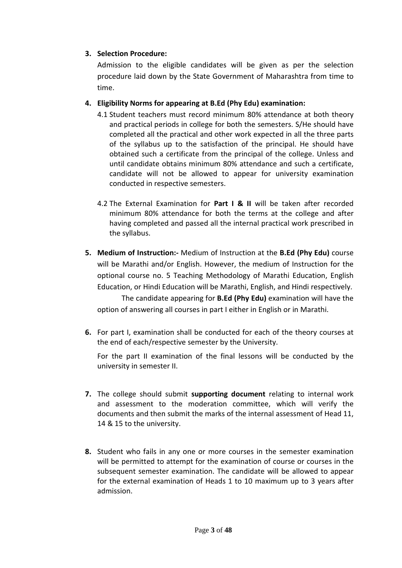### **3. Selection Procedure:**

Admission to the eligible candidates will be given as per the selection procedure laid down by the State Government of Maharashtra from time to time.

- **4. Eligibility Norms for appearing at B.Ed (Phy Edu) examination:** 
	- 4.1 Student teachers must record minimum 80% attendance at both theory and practical periods in college for both the semesters. S/He should have completed all the practical and other work expected in all the three parts of the syllabus up to the satisfaction of the principal. He should have obtained such a certificate from the principal of the college. Unless and until candidate obtains minimum 80% attendance and such a certificate, candidate will not be allowed to appear for university examination conducted in respective semesters.
	- 4.2 The External Examination for **Part I & II** will be taken after recorded minimum 80% attendance for both the terms at the college and after having completed and passed all the internal practical work prescribed in the syllabus.
- **5. Medium of Instruction:-** Medium of Instruction at the **B.Ed (Phy Edu)** course will be Marathi and/or English. However, the medium of Instruction for the optional course no. 5 Teaching Methodology of Marathi Education, English Education, or Hindi Education will be Marathi, English, and Hindi respectively.

The candidate appearing for **B.Ed (Phy Edu)** examination will have the option of answering all courses in part I either in English or in Marathi.

**6.** For part I, examination shall be conducted for each of the theory courses at the end of each/respective semester by the University.

For the part II examination of the final lessons will be conducted by the university in semester II.

- **7.** The college should submit **supporting document** relating to internal work and assessment to the moderation committee, which will verify the documents and then submit the marks of the internal assessment of Head 11, 14 & 15 to the university.
- **8.** Student who fails in any one or more courses in the semester examination will be permitted to attempt for the examination of course or courses in the subsequent semester examination. The candidate will be allowed to appear for the external examination of Heads 1 to 10 maximum up to 3 years after admission.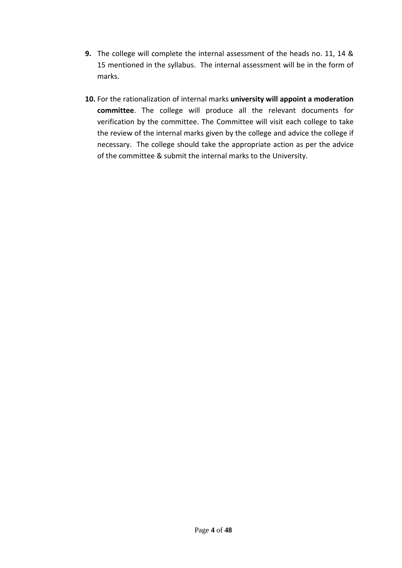- **9.** The college will complete the internal assessment of the heads no. 11, 14 & 15 mentioned in the syllabus. The internal assessment will be in the form of marks.
- **10.** For the rationalization of internal marks **university will appoint a moderation committee**. The college will produce all the relevant documents for verification by the committee. The Committee will visit each college to take the review of the internal marks given by the college and advice the college if necessary. The college should take the appropriate action as per the advice of the committee & submit the internal marks to the University.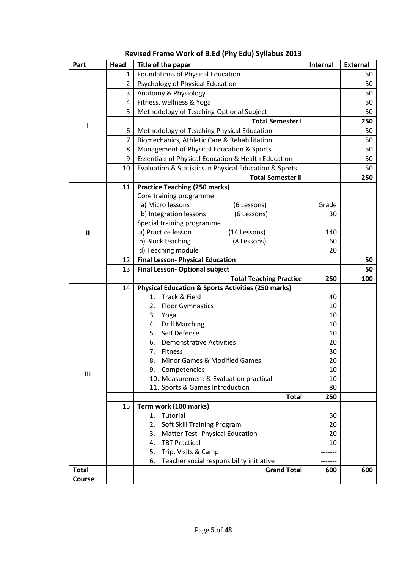| Part           | Head           | Title of the paper                                             | Internal | <b>External</b> |
|----------------|----------------|----------------------------------------------------------------|----------|-----------------|
|                | $\mathbf{1}$   | Foundations of Physical Education                              |          | 50              |
|                | $\overline{2}$ | Psychology of Physical Education                               |          | 50              |
|                | 3              | Anatomy & Physiology                                           |          | 50              |
|                | 4              | Fitness, wellness & Yoga                                       |          | 50              |
|                | 5              | Methodology of Teaching-Optional Subject                       |          | 50              |
| I              |                | <b>Total Semester I</b>                                        |          | 250             |
|                | 6              | Methodology of Teaching Physical Education                     |          | 50              |
|                | $\overline{7}$ | Biomechanics, Athletic Care & Rehabilitation                   |          | 50              |
|                | 8              | Management of Physical Education & Sports                      |          | 50              |
|                | 9              | <b>Essentials of Physical Education &amp; Health Education</b> |          | 50              |
|                | 10             | Evaluation & Statistics in Physical Education & Sports         |          | 50              |
|                |                | <b>Total Semester II</b>                                       |          | 250             |
|                | 11             | <b>Practice Teaching (250 marks)</b>                           |          |                 |
|                |                | Core training programme                                        |          |                 |
|                |                | a) Micro lessons<br>(6 Lessons)                                | Grade    |                 |
|                |                | b) Integration lessons<br>(6 Lessons)                          | 30       |                 |
|                |                | Special training programme                                     |          |                 |
| $\mathbf{I}$   |                | a) Practice lesson<br>(14 Lessons)                             | 140      |                 |
|                |                | b) Block teaching<br>(8 Lessons)                               | 60       |                 |
|                |                | d) Teaching module                                             | 20       |                 |
|                | 12             | <b>Final Lesson- Physical Education</b>                        |          | 50              |
|                | 13             | <b>Final Lesson- Optional subject</b>                          |          | 50              |
|                |                | <b>Total Teaching Practice</b>                                 | 250      | 100             |
|                | 14             | <b>Physical Education &amp; Sports Activities (250 marks)</b>  |          |                 |
|                |                | Track & Field<br>1.                                            | 40       |                 |
|                |                | 2.<br><b>Floor Gymnastics</b>                                  | 10       |                 |
|                |                | 3.<br>Yoga                                                     | 10       |                 |
|                |                | 4. Drill Marching<br>5. Self Defense                           | 10       |                 |
|                |                | 6.<br><b>Demonstrative Activities</b>                          | 10<br>20 |                 |
|                |                | Fitness<br>7.                                                  | 30       |                 |
|                |                | 8.<br>Minor Games & Modified Games                             | 20       |                 |
|                |                | 9. Competencies                                                | 10       |                 |
| $\mathbf{III}$ |                | 10. Measurement & Evaluation practical                         | 10       |                 |
|                |                | 11. Sports & Games Introduction                                | 80       |                 |
|                |                | <b>Total</b>                                                   | 250      |                 |
|                | 15             | Term work (100 marks)                                          |          |                 |
|                |                | Tutorial<br>1.                                                 | 50       |                 |
|                |                | Soft Skill Training Program<br>2.                              | 20       |                 |
|                |                | 3.<br><b>Matter Test-Physical Education</b>                    | 20       |                 |
|                |                | <b>TBT Practical</b><br>4.                                     | 10       |                 |
|                |                | Trip, Visits & Camp<br>5.                                      |          |                 |
|                |                | Teacher social responsibility initiative<br>6.                 |          |                 |
| <b>Total</b>   |                | <b>Grand Total</b>                                             | 600      | 600             |
| Course         |                |                                                                |          |                 |

## **Revised Frame Work of B.Ed (Phy Edu) Syllabus 2013**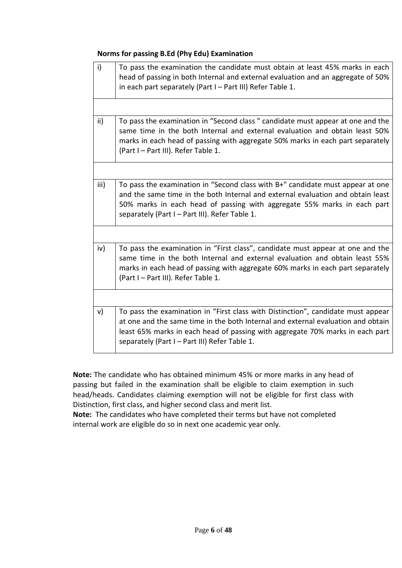### **Norms for passing B.Ed (Phy Edu) Examination**

| i)            | To pass the examination the candidate must obtain at least 45% marks in each<br>head of passing in both Internal and external evaluation and an aggregate of 50%<br>in each part separately (Part I - Part III) Refer Table 1.                                                                         |
|---------------|--------------------------------------------------------------------------------------------------------------------------------------------------------------------------------------------------------------------------------------------------------------------------------------------------------|
| ii)           | To pass the examination in "Second class" candidate must appear at one and the<br>same time in the both Internal and external evaluation and obtain least 50%<br>marks in each head of passing with aggregate 50% marks in each part separately<br>(Part I - Part III). Refer Table 1.                 |
|               |                                                                                                                                                                                                                                                                                                        |
| iii)          | To pass the examination in "Second class with B+" candidate must appear at one<br>and the same time in the both Internal and external evaluation and obtain least<br>50% marks in each head of passing with aggregate 55% marks in each part<br>separately (Part I - Part III). Refer Table 1.         |
|               |                                                                                                                                                                                                                                                                                                        |
| iv)           | To pass the examination in "First class", candidate must appear at one and the<br>same time in the both Internal and external evaluation and obtain least 55%<br>marks in each head of passing with aggregate 60% marks in each part separately<br>(Part I - Part III). Refer Table 1.                 |
|               |                                                                                                                                                                                                                                                                                                        |
| $\mathsf{v})$ | To pass the examination in "First class with Distinction", candidate must appear<br>at one and the same time in the both Internal and external evaluation and obtain<br>least 65% marks in each head of passing with aggregate 70% marks in each part<br>separately (Part I - Part III) Refer Table 1. |

**Note:** The candidate who has obtained minimum 45% or more marks in any head of passing but failed in the examination shall be eligible to claim exemption in such head/heads. Candidates claiming exemption will not be eligible for first class with Distinction, first class, and higher second class and merit list.

**Note:** The candidates who have completed their terms but have not completed internal work are eligible do so in next one academic year only.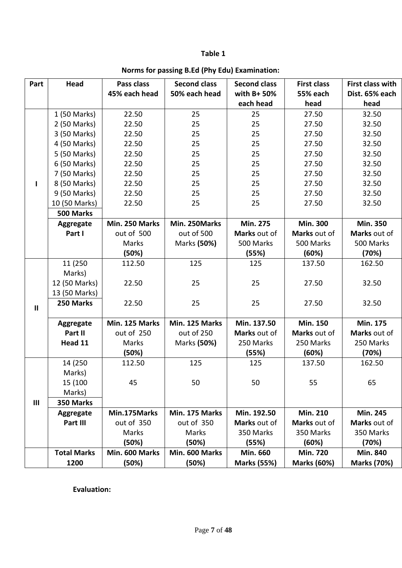### **Table 1**

| Part         | Head               | Pass class     | <b>Second class</b> | <b>Second class</b> | <b>First class</b> | First class with   |
|--------------|--------------------|----------------|---------------------|---------------------|--------------------|--------------------|
|              |                    | 45% each head  | 50% each head       | with B+ 50%         | <b>55% each</b>    | Dist. 65% each     |
|              |                    |                |                     | each head           | head               | head               |
|              | 1 (50 Marks)       | 22.50          | 25                  | 25                  | 27.50              | 32.50              |
|              | 2 (50 Marks)       | 22.50          | 25                  | 25                  | 27.50              | 32.50              |
|              | 3 (50 Marks)       | 22.50          | 25                  | 25                  | 27.50              | 32.50              |
|              | 4 (50 Marks)       | 22.50          | 25                  | 25                  | 27.50              | 32.50              |
|              | 5 (50 Marks)       | 22.50          | 25                  | 25                  | 27.50              | 32.50              |
|              | 6 (50 Marks)       | 22.50          | 25                  | 25                  | 27.50              | 32.50              |
|              | 7 (50 Marks)       | 22.50          | 25                  | 25                  | 27.50              | 32.50              |
|              | 8 (50 Marks)       | 22.50          | 25                  | 25                  | 27.50              | 32.50              |
|              | 9 (50 Marks)       | 22.50          | 25                  | 25                  | 27.50              | 32.50              |
|              | 10 (50 Marks)      | 22.50          | 25                  | 25                  | 27.50              | 32.50              |
|              | 500 Marks          |                |                     |                     |                    |                    |
|              | Aggregate          | Min. 250 Marks | Min. 250Marks       | <b>Min. 275</b>     | <b>Min. 300</b>    | <b>Min. 350</b>    |
|              | Part I             | out of 500     | out of 500          | Marks out of        | Marks out of       | Marks out of       |
|              |                    | Marks          | Marks (50%)         | 500 Marks           | 500 Marks          | 500 Marks          |
|              |                    | (50%)          |                     | (55%)               | (60%)              | (70%)              |
|              | 11 (250            | 112.50         | 125                 | 125                 | 137.50             | 162.50             |
|              | Marks)             |                |                     |                     |                    |                    |
|              | 12 (50 Marks)      | 22.50          | 25                  | 25                  | 27.50              | 32.50              |
|              | 13 (50 Marks)      |                |                     |                     |                    |                    |
| $\mathbf{I}$ | 250 Marks          | 22.50          | 25                  | 25                  | 27.50              | 32.50              |
|              |                    |                |                     |                     |                    |                    |
|              | Aggregate          | Min. 125 Marks | Min. 125 Marks      | Min. 137.50         | <b>Min. 150</b>    | Min. 175           |
|              | Part II            | out of 250     | out of 250          | Marks out of        | Marks out of       | Marks out of       |
|              | Head 11            | Marks          | Marks (50%)         | 250 Marks           | 250 Marks          | 250 Marks          |
|              |                    | (50%)          |                     | (55%)               | (60%)              | (70%)              |
|              | 14 (250            | 112.50         | 125                 | 125                 | 137.50             | 162.50             |
|              | Marks)             |                |                     |                     |                    |                    |
|              | 15 (100            | 45             | 50                  | 50                  | 55                 | 65                 |
|              | Marks)             |                |                     |                     |                    |                    |
| III          | 350 Marks          |                |                     |                     |                    |                    |
|              | Aggregate          | Min.175Marks   | Min. 175 Marks      | Min. 192.50         | <b>Min. 210</b>    | <b>Min. 245</b>    |
|              | Part III           | out of 350     | out of 350          | Marks out of        | Marks out of       | Marks out of       |
|              |                    | Marks          | Marks               | 350 Marks           | 350 Marks          | 350 Marks          |
|              |                    | (50%)          | (50%)               | (55%)               | (60%)              | (70%)              |
|              | <b>Total Marks</b> | Min. 600 Marks | Min. 600 Marks      | Min. 660            | <b>Min. 720</b>    | <b>Min. 840</b>    |
|              | 1200               | (50%)          | (50%)               | <b>Marks (55%)</b>  | <b>Marks (60%)</b> | <b>Marks (70%)</b> |

### **Norms for passing B.Ed (Phy Edu) Examination:**

**Evaluation:**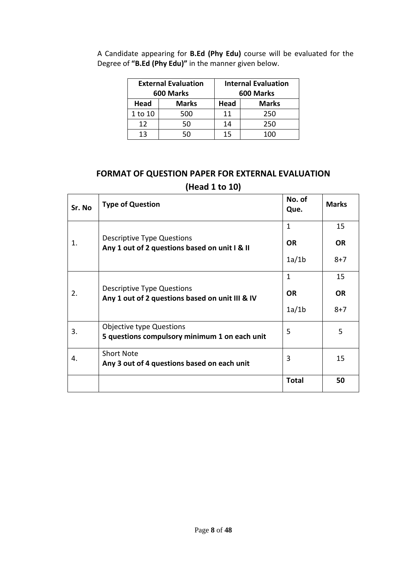|         | <b>External Evaluation</b><br>600 Marks | <b>Internal Evaluation</b><br>600 Marks |     |
|---------|-----------------------------------------|-----------------------------------------|-----|
| Head    | <b>Marks</b>                            | <b>Marks</b><br>Head                    |     |
| 1 to 10 | 500                                     | 11                                      | 250 |
| 12      | 50                                      | 14                                      | 250 |
| 13      | הה                                      | 15                                      | 100 |

A Candidate appearing for **B.Ed (Phy Edu)** course will be evaluated for the Degree of **"B.Ed (Phy Edu)"** in the manner given below.

## **FORMAT OF QUESTION PAPER FOR EXTERNAL EVALUATION (Head 1 to 10)**

| Sr. No | <b>Type of Question</b>                                                       | No. of<br>Que. | <b>Marks</b> |
|--------|-------------------------------------------------------------------------------|----------------|--------------|
|        |                                                                               | $\mathbf{1}$   | 15           |
| 1.     | Descriptive Type Questions<br>Any 1 out of 2 questions based on unit I & II   | <b>OR</b>      | <b>OR</b>    |
|        |                                                                               | 1a/1b          | $8 + 7$      |
|        |                                                                               | $\mathbf{1}$   | 15           |
| 2.     | Descriptive Type Questions<br>Any 1 out of 2 questions based on unit III & IV | <b>OR</b>      | <b>OR</b>    |
|        |                                                                               | 1a/1b          | $8 + 7$      |
| 3.     | Objective type Questions                                                      | 5              | 5            |
|        | 5 questions compulsory minimum 1 on each unit                                 |                |              |
| 4.     | <b>Short Note</b><br>Any 3 out of 4 questions based on each unit              | 3              | 15           |
|        |                                                                               | <b>Total</b>   | 50           |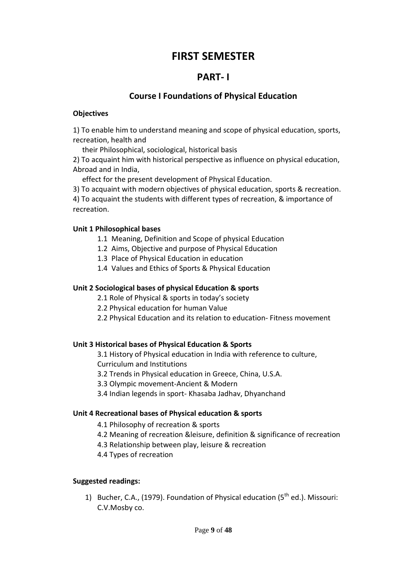# **FIRST SEMESTER**

### **PART- I**

### **Course I Foundations of Physical Education**

#### **Objectives**

1) To enable him to understand meaning and scope of physical education, sports, recreation, health and

their Philosophical, sociological, historical basis

2) To acquaint him with historical perspective as influence on physical education, Abroad and in India,

effect for the present development of Physical Education.

3) To acquaint with modern objectives of physical education, sports & recreation.

4) To acquaint the students with different types of recreation, & importance of recreation.

### **Unit 1 Philosophical bases**

- 1.1 Meaning, Definition and Scope of physical Education
- 1.2 Aims, Objective and purpose of Physical Education
- 1.3 Place of Physical Education in education
- 1.4 Values and Ethics of Sports & Physical Education

### **Unit 2 Sociological bases of physical Education & sports**

- 2.1 Role of Physical & sports in today's society
- 2.2 Physical education for human Value
- 2.2 Physical Education and its relation to education- Fitness movement

### **Unit 3 Historical bases of Physical Education & Sports**

3.1 History of Physical education in India with reference to culture, Curriculum and Institutions

- 3.2 Trends in Physical education in Greece, China, U.S.A.
- 3.3 Olympic movement-Ancient & Modern
- 3.4 Indian legends in sport- Khasaba Jadhav, Dhyanchand

### **Unit 4 Recreational bases of Physical education & sports**

4.1 Philosophy of recreation & sports

- 4.2 Meaning of recreation &leisure, definition & significance of recreation
- 4.3 Relationship between play, leisure & recreation
- 4.4 Types of recreation

### **Suggested readings:**

1) Bucher, C.A., (1979). Foundation of Physical education  $(5<sup>th</sup>$  ed.). Missouri: C.V.Mosby co.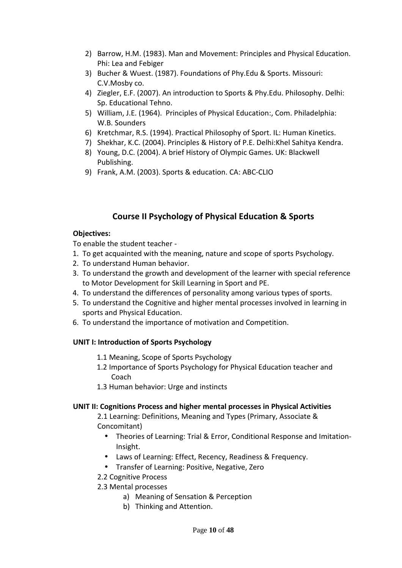- 2) Barrow, H.M. (1983). Man and Movement: Principles and Physical Education. Phi: Lea and Febiger
- 3) Bucher & Wuest. (1987). Foundations of Phy.Edu & Sports. Missouri: C.V.Mosby co.
- 4) Ziegler, E.F. (2007). An introduction to Sports & Phy.Edu. Philosophy. Delhi: Sp. Educational Tehno.
- 5) William, J.E. (1964). Principles of Physical Education:, Com. Philadelphia: W.B. Sounders
- 6) Kretchmar, R.S. (1994). Practical Philosophy of Sport. IL: Human Kinetics.
- 7) Shekhar, K.C. (2004). Principles & History of P.E. Delhi:Khel Sahitya Kendra.
- 8) Young, D.C. (2004). A brief History of Olympic Games. UK: Blackwell Publishing.
- 9) Frank, A.M. (2003). Sports & education. CA: ABC-CLIO

### **Course II Psychology of Physical Education & Sports**

### **Objectives:**

To enable the student teacher -

- 1. To get acquainted with the meaning, nature and scope of sports Psychology.
- 2. To understand Human behavior.
- 3. To understand the growth and development of the learner with special reference to Motor Development for Skill Learning in Sport and PE.
- 4. To understand the differences of personality among various types of sports.
- 5. To understand the Cognitive and higher mental processes involved in learning in sports and Physical Education.
- 6. To understand the importance of motivation and Competition.

### **UNIT I: Introduction of Sports Psychology**

- 1.1 Meaning, Scope of Sports Psychology
- 1.2 Importance of Sports Psychology for Physical Education teacher and Coach
- 1.3 Human behavior: Urge and instincts

### **UNIT II: Cognitions Process and higher mental processes in Physical Activities**

2.1 Learning: Definitions, Meaning and Types (Primary, Associate & Concomitant)

- Theories of Learning: Trial & Error, Conditional Response and Imitation-Insight.
- Laws of Learning: Effect, Recency, Readiness & Frequency.
- Transfer of Learning: Positive, Negative, Zero
- 2.2 Cognitive Process

### 2.3 Mental processes

- a) Meaning of Sensation & Perception
- b) Thinking and Attention.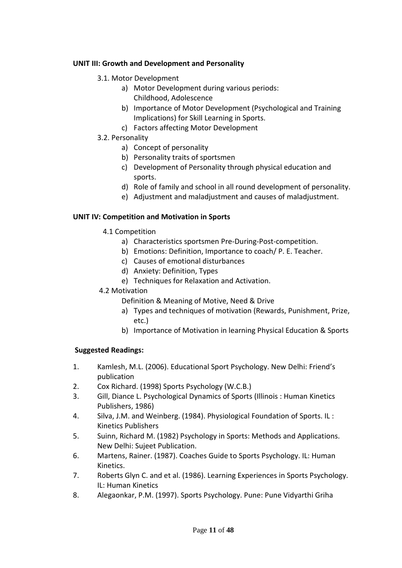### **UNIT III: Growth and Development and Personality**

- 3.1. Motor Development
	- a) Motor Development during various periods: Childhood, Adolescence
	- b) Importance of Motor Development (Psychological and Training Implications) for Skill Learning in Sports.
	- c) Factors affecting Motor Development
- 3.2. Personality
	- a) Concept of personality
	- b) Personality traits of sportsmen
	- c) Development of Personality through physical education and sports.
	- d) Role of family and school in all round development of personality.
	- e) Adjustment and maladjustment and causes of maladjustment.

### **UNIT IV: Competition and Motivation in Sports**

- 4.1 Competition
	- a) Characteristics sportsmen Pre-During-Post-competition.
	- b) Emotions: Definition, Importance to coach/ P. E. Teacher.
	- c) Causes of emotional disturbances
	- d) Anxiety: Definition, Types
	- e) Techniques for Relaxation and Activation.

### 4.2 Motivation

Definition & Meaning of Motive, Need & Drive

- a) Types and techniques of motivation (Rewards, Punishment, Prize, etc.)
- b) Importance of Motivation in learning Physical Education & Sports

### **Suggested Readings:**

- 1. Kamlesh, M.L. (2006). Educational Sport Psychology. New Delhi: Friend's publication
- 2. Cox Richard. (1998) Sports Psychology (W.C.B.)
- 3. Gill, Diance L. Psychological Dynamics of Sports (Illinois : Human Kinetics Publishers, 1986)
- 4. Silva, J.M. and Weinberg. (1984). Physiological Foundation of Sports. IL : Kinetics Publishers
- 5. Suinn, Richard M. (1982) Psychology in Sports: Methods and Applications. New Delhi: Sujeet Publication.
- 6. Martens, Rainer. (1987). Coaches Guide to Sports Psychology. IL: Human Kinetics.
- 7. Roberts Glyn C. and et al. (1986). Learning Experiences in Sports Psychology. IL: Human Kinetics
- 8. Alegaonkar, P.M. (1997). Sports Psychology. Pune: Pune Vidyarthi Griha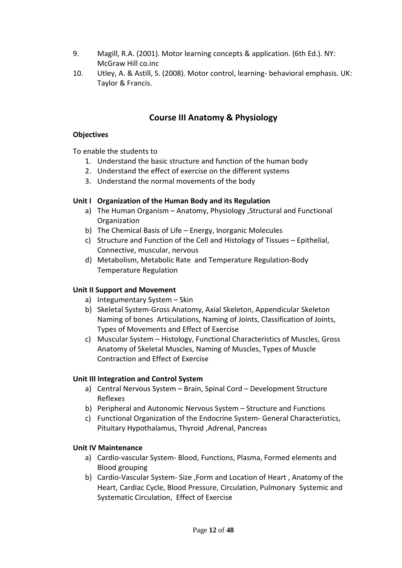- 9. Magill, R.A. (2001). Motor learning concepts & application. (6th Ed.). NY: McGraw Hill co.inc
- 10. Utley, A. & Astill, S. (2008). Motor control, learning- behavioral emphasis. UK: Taylor & Francis.

### **Course III Anatomy & Physiology**

### **Objectives**

To enable the students to

- 1. Understand the basic structure and function of the human body
- 2. Understand the effect of exercise on the different systems
- 3. Understand the normal movements of the body

### **Unit I Organization of the Human Body and its Regulation**

- a) The Human Organism Anatomy, Physiology ,Structural and Functional **Organization**
- b) The Chemical Basis of Life Energy, Inorganic Molecules
- c) Structure and Function of the Cell and Histology of Tissues Epithelial, Connective, muscular, nervous
- d) Metabolism, Metabolic Rate and Temperature Regulation-Body Temperature Regulation

### **Unit II Support and Movement**

- a) Integumentary System Skin
- b) Skeletal System-Gross Anatomy, Axial Skeleton, Appendicular Skeleton Naming of bones Articulations, Naming of Joints, Classification of Joints, Types of Movements and Effect of Exercise
- c) Muscular System Histology, Functional Characteristics of Muscles, Gross Anatomy of Skeletal Muscles, Naming of Muscles, Types of Muscle Contraction and Effect of Exercise

### **Unit III Integration and Control System**

- a) Central Nervous System Brain, Spinal Cord Development Structure Reflexes
- b) Peripheral and Autonomic Nervous System Structure and Functions
- c) Functional Organization of the Endocrine System- General Characteristics, Pituitary Hypothalamus, Thyroid ,Adrenal, Pancreas

### **Unit IV Maintenance**

- a) Cardio-vascular System- Blood, Functions, Plasma, Formed elements and Blood grouping
- b) Cardio-Vascular System- Size ,Form and Location of Heart , Anatomy of the Heart, Cardiac Cycle, Blood Pressure, Circulation, Pulmonary Systemic and Systematic Circulation, Effect of Exercise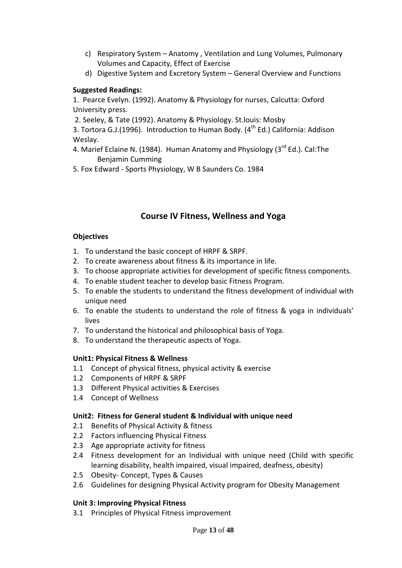- c) Respiratory System Anatomy , Ventilation and Lung Volumes, Pulmonary Volumes and Capacity, Effect of Exercise
- d) Digestive System and Excretory System General Overview and Functions

### **Suggested Readings:**

1. Pearce Evelyn. (1992). Anatomy & Physiology for nurses, Calcutta: Oxford University press.

2. Seeley, & Tate (1992). Anatomy & Physiology. St.louis: Mosby

3. Tortora G.J.(1996). Introduction to Human Body.  $(4^{th}$  Ed.) California: Addison Weslay.

- 4. Marief Eclaine N. (1984). Human Anatomy and Physiology (3rd Ed.). Cal: The Benjamin Cumming
- 5. Fox Edward Sports Physiology, W B Saunders Co. 1984

### **Course IV Fitness, Wellness and Yoga**

### **Objectives**

- 1. To understand the basic concept of HRPF & SRPF.
- 2. To create awareness about fitness & its importance in life.
- 3. To choose appropriate activities for development of specific fitness components.
- 4. To enable student teacher to develop basic Fitness Program.
- 5. To enable the students to understand the fitness development of individual with unique need
- 6. To enable the students to understand the role of fitness & yoga in individuals' lives
- 7. To understand the historical and philosophical basis of Yoga.
- 8. To understand the therapeutic aspects of Yoga.

### **Unit1: Physical Fitness & Wellness**

- 1.1 Concept of physical fitness, physical activity & exercise
- 1.2 Components of HRPF & SRPF
- 1.3 Different Physical activities & Exercises
- 1.4 Concept of Wellness

### **Unit2: Fitness for General student & Individual with unique need**

- 2.1 Benefits of Physical Activity & fitness
- 2.2 Factors influencing Physical Fitness
- 2.3 Age appropriate activity for fitness
- 2.4 Fitness development for an Individual with unique need (Child with specific learning disability, health impaired, visual impaired, deafness, obesity)
- 2.5 Obesity- Concept, Types & Causes
- 2.6 Guidelines for designing Physical Activity program for Obesity Management

### **Unit 3: Improving Physical Fitness**

3.1 Principles of Physical Fitness improvement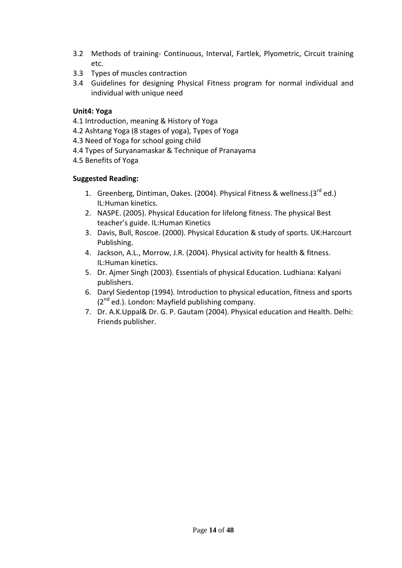- 3.2 Methods of training- Continuous, Interval, Fartlek, Plyometric, Circuit training etc.
- 3.3 Types of muscles contraction
- 3.4 Guidelines for designing Physical Fitness program for normal individual and individual with unique need

### **Unit4: Yoga**

- 4.1 Introduction, meaning & History of Yoga
- 4.2 Ashtang Yoga (8 stages of yoga), Types of Yoga
- 4.3 Need of Yoga for school going child
- 4.4 Types of Suryanamaskar & Technique of Pranayama
- 4.5 Benefits of Yoga

### **Suggested Reading:**

- 1. Greenberg, Dintiman, Oakes. (2004). Physical Fitness & wellness. (3<sup>rd</sup> ed.) IL:Human kinetics.
- 2. NASPE. (2005). Physical Education for lifelong fitness. The physical Best teacher's guide. IL:Human Kinetics
- 3. Davis, Bull, Roscoe. (2000). Physical Education & study of sports. UK:Harcourt Publishing.
- 4. Jackson, A.L., Morrow, J.R. (2004). Physical activity for health & fitness. IL:Human kinetics.
- 5. Dr. Ajmer Singh (2003). Essentials of physical Education. Ludhiana: Kalyani publishers.
- 6. Daryl Siedentop (1994). Introduction to physical education, fitness and sports  $(2^{nd}$  ed.). London: Mayfield publishing company.
- 7. Dr. A.K.Uppal& Dr. G. P. Gautam (2004). Physical education and Health. Delhi: Friends publisher.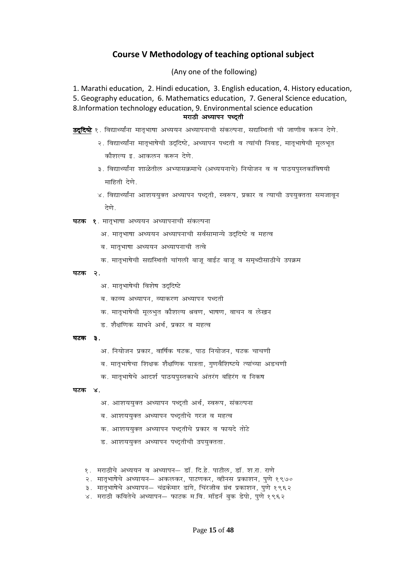### **Course V Methodology of teaching optional subject**

(Any one of the following)

1. Marathi education, 2. Hindi education, 3. English education, 4. History education, 5. Geography education, 6. Mathematics education, 7. General Science education, 8.Information technology education, 9. Environmental science education *ejkBh v/;kiu i/n ~rh v/;kiu i/n ~rh~rh* 

- **उददिष्टे** १. विद्यार्थ्यांना मातृभाषा अध्ययन अध्यापनाची संकल्पना, सद्यस्थिती ची जाणीव करून देणे.
	- २. विद्यार्थ्यांना मातृभाषेची उद्दिष्टे, अध्यापन पध्दती व त्यांची निवड, मातृभाषेची मूलभूत <u>कौशल्य इ. आकलन करून देणे</u>
	- ३. विद्यार्थ्यांना शाळेतील अभ्यासक्रमाचे (अध्ययनाचे) नियोजन व व पाठयपस्तकांविषयी  $H$ हिती देणे.
	- $\times$  विद्यार्थ्यांना आशययक्त अध्यापन पध्दती, स्वरूप, प्रकार व त्याची उपयक्तता समजावन *देणे.*

**घटक १**. मातृभाषा अध्ययन अध्यापनाची संकल्पना

- अ. मातभाषा अध्ययन अध्यापनाची सर्वसामान्ये उददिष्टे व महत्व
- *c- ekr `Hkk"kk v/;;u v/;kiukph rRos*
- क. मातृभाषेची सद्यस्थिती चांगली बाजू वाईट बाजू व समृध्दीसाठीचे उपक्रम
- *<u>घटक २.</u>* 
	- अ. मातभाषेची विशेष उददिष्टे
	- ब. काव्य अध्यापन, व्याकरण अध्यापन पध्दती
	- *क.* मातृभाषेची मूलभुत कौशल्य श्रवण, भाषण, वाचन व लेखन
	- *M- 'kS{kf.kd lk/kus vFk Z] izdkj o egRo*

#### *<sub>aza</sub> 3.*

- अ. नियोजन प्रकार, वार्षिक घटक, पाठ नियोजन, घटक चाचणी
- ब. मातृभाषेचा शिक्षक शैक्षणिक पात्रता, गणवैशिष्टये त्यांच्या अडचणी
- क. मातृभाषेचे आदर्श पाठयपुस्तकाचे अंतरंग बहिरंग व निकष

#### <u>घटक ४</u>

- अ. आशययक्त अध्यापन पध्दती अर्थ, स्वरूप, संकल्पना
- ब. आशययुक्त अध्यापन पध्दुतीचे गरज व महत्व
- क. आशययुक्त अध्यापन पध्दुतीचे प्रकार व फायदे तोटे
- ड. आशययुक्त अध्यापन पध्दुतीची उपयुक्तता.
- १. मराठीचे अध्ययन व अध्यापन– डॉ. दि.हे. पाटील, डॉ. श.रा. राणे
- २. मातभाषेचे अध्यायन– अकलकर, पाटणकर, व्हीनस प्रकाशन, पणे १९७०
- ३. मातृभाषेचे अध्यापन– चंद्रकेमार डांगे, चिंरजीव ग्रंथ प्रकाशन, पुणे १९६२
- ४. मराठी कवितेचे अध्यापन– फाटक म.वि. मॉडर्न बुक डेपो, पुणे १९६२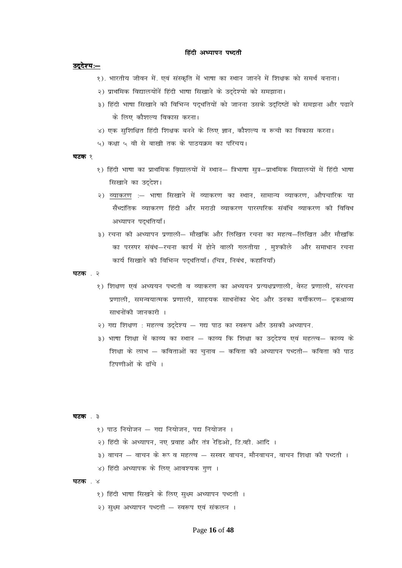#### *हिंदी अध्यापन पध्दती*

#### *a*çदेश्य: —

- १). भारतीय जीवन में. एवं संस्कृति में भाषा का स्थान जानने में शिक्षक को समर्थ बनाना।
- *2½ izkFkfed fo|ky;ksau sa fg anh Hkk"kk fl[kkus ds mn~n s';k s dks le>kukA*
- *3½ fg anh Hkk"kk fl[kkus dh fofHkUu in ~/kfr;k sa dk s tkuuk mlds mn ~fn"Vksa dk s le>uk vk Sj i<kus ds fy, dkS'kY; fodkl djukA*
- ४) एक सुशिक्षित हिंदी शिक्षक बनने के लिए ज्ञान, कौशल्य व रूची का विकास करना।
- *5½ d{kk 5 oh ls ck[kh rd ds ikB;Øe dk ifjp;A*

#### **घटक** १

- *1½ fganh Hkk"kk dk izkFkfed fo+|ky;ksa esa LFkku& f=Hkk"kk lq=&izkFkfed fo|ky;ksa esa fg anh Hkk"kk सिखाने का उद्देश।*
- २) व्याकरण :– भाषा सिखाने में व्याकरण का स्थान, सामान्य व्याकरण, औपचारिक या *l Sa/nkafrd O;kdj.k fganh vkSj ejkBh O;kdj.k ikjLifjd l acaf/k O;kdj.k dh fofo/k*  अध्यापन पदधतियाँ।
- *3½ jpuk dh v/;kiu iz.kkyh& ek S[kfd vkSj fyf[kr jpuk dk egRo&fyf[kr vkSj ek S[kfd का परस्पर संबंध—रचना कार्य में होने वाली गलतीया , मुश्कीले और समाधान रचना कार्य सिखाने की विभिन्न पद्धतियाँ। (चित्र, निबंध, कहानियाँ)*

**घटक** . २

- १) शिक्षण एवं अध्ययन पध्दती व व्याकरण का अध्ययन प्रत्यक्षप्रणाली, वेस्ट प्रणाली, संरचना *iz.kkyh] leUo;kRed iz.kkyh] lkg;d lk/kuksadk Hk sn vkSj mudk oxhZdj.k& n `dJkO; lk/kuk sadh tkudkjh A*
- २) गद्य शिक्षण : महत्त्व उद्देश्य गद्य पाठ का स्वरूप और उसकी अध्यापन.
- *3½ Hkk"kk f'k{kk esa dkO; dk LFkku & dkO; fd f'k{kk dk mn ~ns'; ,oa egRRo& dkO; ds f'k{kk ds ykHk & dforkvksa dk p quko & dfork dh v/;kiu i/nrh& dfork dh ikB टिपणी*ओं के ढॉचे ।

**घटक** . ३

- *1½ ikB fu;kstu & x| fu;kstu] i| fu;kstu A*
- २) हिंदी के अध्यापन, नए प्रवाह और तंत्र रेडिओ, टि.व्ही. आदि ।
- ३) वाचन वाचन के रूप व महत्त्व सस्वर वाचन, मौनवाचन, वाचन शिक्षा की पध्दती ।
- ४) हिंदी अध्यापक के लिए आवश्यक गुण ।

#### **घटक** . ४

- १) हिंदी भाषा सिखने के लिए सुक्ष्म अध्यापन पध्दती ।
- २) सुक्ष्म अध्यापन पध्दती स्वरूप एवं संकलन**।**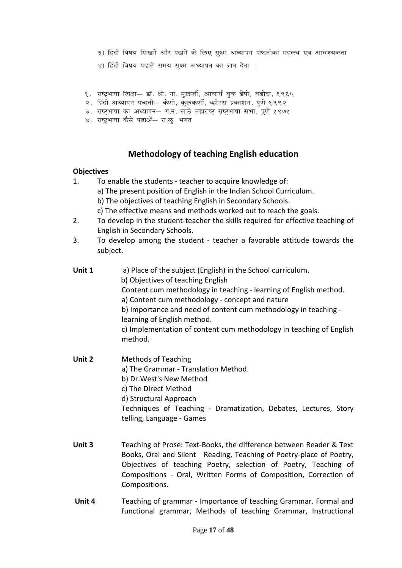- ३) हिंदी विषय सिखने और पढाने के लिए सुक्ष्म अध्यापन पध्दतीका महत्त्व एवं आवश्यकता
- ४) हिंदी विषय पढाते समय सक्ष्म अध्यापन का ज्ञान देना ।
- १. राष्ट्रभाषा शिक्षा— डॉ. श्री. ना. मुखर्जी, आचार्य बुक डेपो, बडोदा, १९६५
- २. हिंदी अध्यापन पध्दती— केणी, कुलकर्णी, व्हीनस प्रकाशन, पुणे १९९२
- ३. राष्ट्रभाषा का अध्यापन– ग.न. साठे महाराष्ट्र राष्ट्रभाषा सभा, पुणे १९७१
- ४. राष्ट्रभाषा कैसे पढाओं— रा.ऌ. भगत

### **Methodology of teaching English education**

#### **Objectives**

- 1. To enable the students teacher to acquire knowledge of:
	- a) The present position of English in the Indian School Curriculum.
	- b) The objectives of teaching English in Secondary Schools.
	- c) The effective means and methods worked out to reach the goals.
- 2. To develop in the student-teacher the skills required for effective teaching of English in Secondary Schools.
- 3. To develop among the student teacher a favorable attitude towards the subject.
- **Unit 1** a) Place of the subject (English) in the School curriculum.
	- b) Objectives of teaching English
		- Content cum methodology in teaching learning of English method.
	- a) Content cum methodology concept and nature
	- b) Importance and need of content cum methodology in teaching learning of English method.

c) Implementation of content cum methodology in teaching of English method.

- **Unit 2** Methods of Teaching a) The Grammar - Translation Method. b) Dr.West's New Method c) The Direct Method d) Structural Approach Techniques of Teaching - Dramatization, Debates, Lectures, Story telling, Language - Games
- **Unit 3** Teaching of Prose: Text-Books, the difference between Reader & Text Books, Oral and Silent Reading, Teaching of Poetry-place of Poetry, Objectives of teaching Poetry, selection of Poetry, Teaching of Compositions - Oral, Written Forms of Composition, Correction of Compositions.
- **Unit 4** Teaching of grammar Importance of teaching Grammar. Formal and functional grammar, Methods of teaching Grammar, Instructional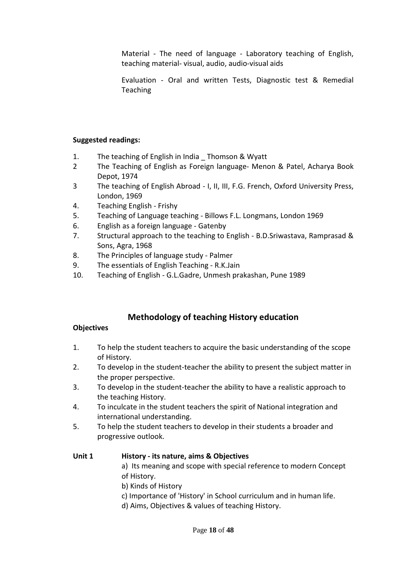Material - The need of language - Laboratory teaching of English, teaching material- visual, audio, audio-visual aids

Evaluation - Oral and written Tests, Diagnostic test & Remedial Teaching

### **Suggested readings:**

- 1. The teaching of English in India \_ Thomson & Wyatt
- 2 The Teaching of English as Foreign language- Menon & Patel, Acharya Book Depot, 1974
- 3 The teaching of English Abroad I, II, III, F.G. French, Oxford University Press, London, 1969
- 4. Teaching English Frishy
- 5. Teaching of Language teaching Billows F.L. Longmans, London 1969
- 6. English as a foreign language Gatenby
- 7. Structural approach to the teaching to English B.D.Sriwastava, Ramprasad & Sons, Agra, 1968
- 8. The Principles of language study Palmer
- 9. The essentials of English Teaching R.K.Jain
- 10. Teaching of English G.L.Gadre, Unmesh prakashan, Pune 1989

### **Methodology of teaching History education**

### **Objectives**

- 1. To help the student teachers to acquire the basic understanding of the scope of History.
- 2. To develop in the student-teacher the ability to present the subject matter in the proper perspective.
- 3. To develop in the student-teacher the ability to have a realistic approach to the teaching History.
- 4. To inculcate in the student teachers the spirit of National integration and international understanding.
- 5. To help the student teachers to develop in their students a broader and progressive outlook.

### **Unit 1 History - its nature, aims & Objectives**

a) Its meaning and scope with special reference to modern Concept of History.

- b) Kinds of History
- c) Importance of 'History' in School curriculum and in human life.
- d) Aims, Objectives & values of teaching History.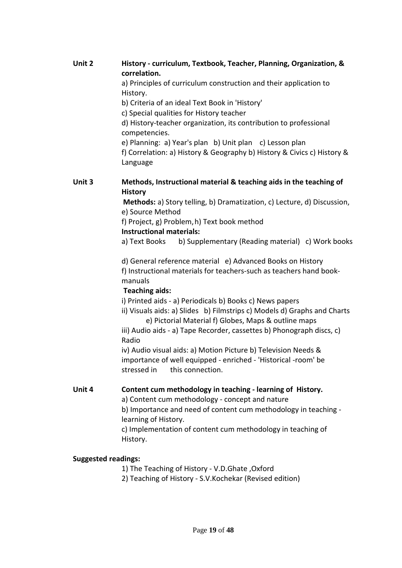**Unit 2 History - curriculum, Textbook, Teacher, Planning, Organization, & correlation.** 

a) Principles of curriculum construction and their application to History.

b) Criteria of an ideal Text Book in 'History'

c) Special qualities for History teacher

d) History-teacher organization, its contribution to professional competencies.

 e) Planning: a) Year's plan b) Unit plan c) Lesson plan f) Correlation: a) History & Geography b) History & Civics c) History & Language

### **Unit 3 Methods, Instructional material & teaching aids in the teaching of History**

**Methods:** a) Story telling, b) Dramatization, c) Lecture, d) Discussion, e) Source Method

f) Project, g) Problem, h) Text book method

### **Instructional materials:**

a) Text Books b) Supplementary (Reading material) c) Work books

 d) General reference material e) Advanced Books on History f) Instructional materials for teachers-such as teachers hand bookmanuals

### **Teaching aids:**

i) Printed aids - a) Periodicals b) Books c) News papers

ii) Visuals aids: a) Slides b) Filmstrips c) Models d) Graphs and Charts e) Pictorial Material f) Globes, Maps & outline maps

iii) Audio aids - a) Tape Recorder, cassettes b) Phonograph discs, c) Radio

iv) Audio visual aids: a) Motion Picture b) Television Needs & importance of well equipped - enriched - 'Historical -room' be stressed in this connection.

### **Unit 4 Content cum methodology in teaching - learning of History.**

a) Content cum methodology - concept and nature

 b) Importance and need of content cum methodology in teaching learning of History.

 c) Implementation of content cum methodology in teaching of History.

### **Suggested readings:**

1) The Teaching of History - V.D.Ghate ,Oxford

2) Teaching of History - S.V.Kochekar (Revised edition)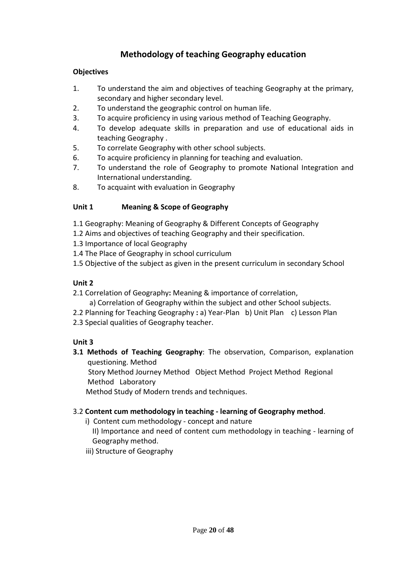### **Methodology of teaching Geography education**

### **Objectives**

- 1. To understand the aim and objectives of teaching Geography at the primary, secondary and higher secondary level.
- 2. To understand the geographic control on human life.
- 3. To acquire proficiency in using various method of Teaching Geography.
- 4. To develop adequate skills in preparation and use of educational aids in teaching Geography .
- 5. To correlate Geography with other school subjects.
- 6. To acquire proficiency in planning for teaching and evaluation.
- 7. To understand the role of Geography to promote National Integration and International understanding.
- 8. To acquaint with evaluation in Geography

### **Unit 1 Meaning & Scope of Geography**

- 1.1 Geography: Meaning of Geography & Different Concepts of Geography
- 1.2 Aims and objectives of teaching Geography and their specification.
- 1.3 Importance of local Geography
- 1.4 The Place of Geography in school curriculum
- 1.5 Objective of the subject as given in the present curriculum in secondary School

### **Unit 2**

- 2.1 Correlation of Geography**:** Meaning & importance of correlation,
	- a) Correlation of Geography within the subject and other School subjects.
- 2.2 Planning for Teaching Geography **:** a) Year-Plan b) Unit Plan c) Lesson Plan
- 2.3 Special qualities of Geography teacher.

### **Unit 3**

**3.1 Methods of Teaching Geography**: The observation, Comparison, explanation questioning. Method

Story Method Journey Method Object Method Project Method Regional Method Laboratory

Method Study of Modern trends and techniques.

### 3.2 **Content cum methodology in teaching - learning of Geography method**.

i) Content cum methodology - concept and nature

 II) Importance and need of content cum methodology in teaching - learning of Geography method.

iii) Structure of Geography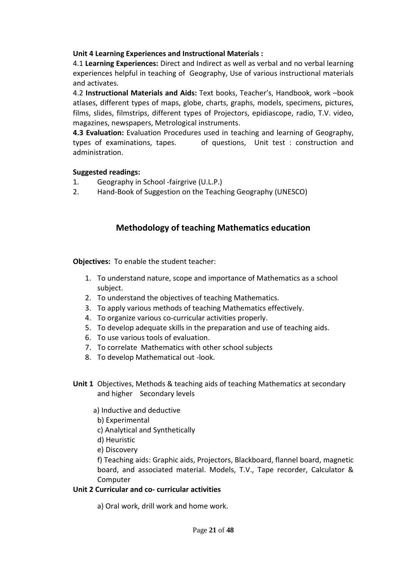### **Unit 4 Learning Experiences and Instructional Materials :**

4.1 **Learning Experiences:** Direct and Indirect as well as verbal and no verbal learning experiences helpful in teaching of Geography, Use of various instructional materials and activates.

4.2 **Instructional Materials and Aids:** Text books, Teacher's, Handbook, work –book atlases, different types of maps, globe, charts, graphs, models, specimens, pictures, films, slides, filmstrips, different types of Projectors, epidiascope, radio, T.V. video, magazines, newspapers, Metrological instruments.

**4.3 Evaluation:** Evaluation Procedures used in teaching and learning of Geography, types of examinations, tapes. of questions, Unit test : construction and administration.

#### **Suggested readings:**

- 1. Geography in School -fairgrive (U.L.P.)
- 2. Hand-Book of Suggestion on the Teaching Geography (UNESCO)

### **Methodology of teaching Mathematics education**

**Objectives:** To enable the student teacher:

- 1. To understand nature, scope and importance of Mathematics as a school subject.
- 2. To understand the objectives of teaching Mathematics.
- 3. To apply various methods of teaching Mathematics effectively.
- 4. To organize various co-curricular activities properly.
- 5. To develop adequate skills in the preparation and use of teaching aids.
- 6. To use various tools of evaluation.
- 7. To correlate Mathematics with other school subjects
- 8. To develop Mathematical out -look.
- **Unit 1** Objectives, Methods & teaching aids of teaching Mathematics at secondary and higher Secondary levels
	- a) Inductive and deductive
		- b) Experimental
	- c) Analytical and Synthetically
	- d) Heuristic
	- e) Discovery

f) Teaching aids: Graphic aids, Projectors, Blackboard, flannel board, magnetic board, and associated material. Models, T.V., Tape recorder, Calculator & **Computer** 

### **Unit 2 Curricular and co- curricular activities**

a) Oral work, drill work and home work.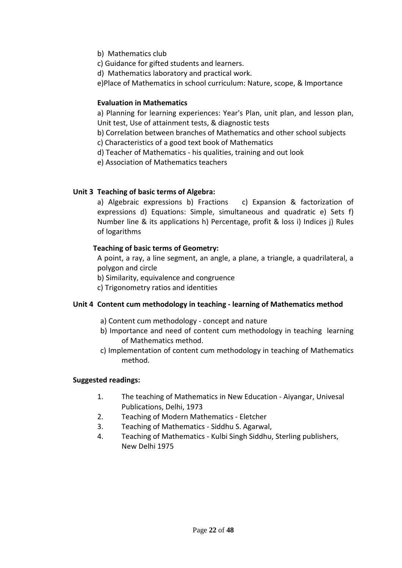- b) Mathematics club
- c) Guidance for gifted students and learners.
- d) Mathematics laboratory and practical work.

e)Place of Mathematics in school curriculum: Nature, scope, & Importance

#### **Evaluation in Mathematics**

a) Planning for learning experiences: Year's Plan, unit plan, and lesson plan, Unit test, Use of attainment tests, & diagnostic tests

b) Correlation between branches of Mathematics and other school subjects

c) Characteristics of a good text book of Mathematics

d) Teacher of Mathematics - his qualities, training and out look

e) Association of Mathematics teachers

#### **Unit 3 Teaching of basic terms of Algebra:**

a) Algebraic expressions b) Fractions c) Expansion & factorization of expressions d) Equations: Simple, simultaneous and quadratic e) Sets f) Number line & its applications h) Percentage, profit & loss i) Indices j) Rules of logarithms

#### **Teaching of basic terms of Geometry:**

A point, a ray, a line segment, an angle, a plane, a triangle, a quadrilateral, a polygon and circle

b) Similarity, equivalence and congruence

c) Trigonometry ratios and identities

### **Unit 4 Content cum methodology in teaching - learning of Mathematics method**

- a) Content cum methodology concept and nature
- b) Importance and need of content cum methodology in teaching learning of Mathematics method.
- c) Implementation of content cum methodology in teaching of Mathematics method.

#### **Suggested readings:**

- 1. The teaching of Mathematics in New Education Aiyangar, Univesal Publications, Delhi, 1973
- 2. Teaching of Modern Mathematics Eletcher
- 3. Teaching of Mathematics Siddhu S. Agarwal,
- 4. Teaching of Mathematics Kulbi Singh Siddhu, Sterling publishers, New Delhi 1975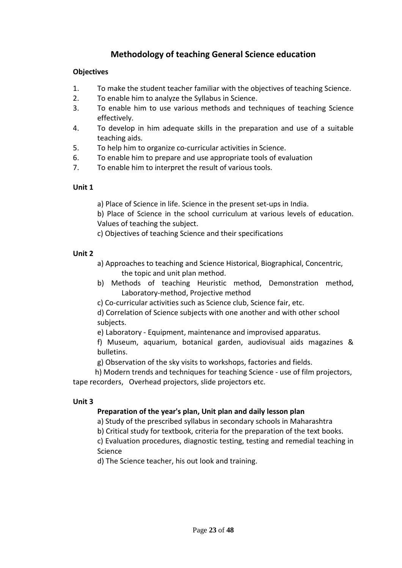### **Methodology of teaching General Science education**

### **Objectives**

- 1. To make the student teacher familiar with the objectives of teaching Science.
- 2. To enable him to analyze the Syllabus in Science.
- 3. To enable him to use various methods and techniques of teaching Science effectively.
- 4. To develop in him adequate skills in the preparation and use of a suitable teaching aids.
- 5. To help him to organize co-curricular activities in Science.
- 6. To enable him to prepare and use appropriate tools of evaluation
- 7. To enable him to interpret the result of various tools.

### **Unit 1**

- a) Place of Science in life. Science in the present set-ups in India.
- b) Place of Science in the school curriculum at various levels of education. Values of teaching the subject.
- c) Objectives of teaching Science and their specifications

### **Unit 2**

- a) Approaches to teaching and Science Historical, Biographical, Concentric, the topic and unit plan method.
- b) Methods of teaching Heuristic method, Demonstration method, Laboratory-method, Projective method
- c) Co-curricular activities such as Science club, Science fair, etc.

d) Correlation of Science subjects with one another and with other school subjects.

e) Laboratory - Equipment, maintenance and improvised apparatus.

f) Museum, aquarium, botanical garden, audiovisual aids magazines & bulletins.

g) Observation of the sky visits to workshops, factories and fields.

 h) Modern trends and techniques for teaching Science - use of film projectors, tape recorders, Overhead projectors, slide projectors etc.

### **Unit 3**

### **Preparation of the year's plan, Unit plan and daily lesson plan**

a) Study of the prescribed syllabus in secondary schools in Maharashtra

b) Critical study for textbook, criteria for the preparation of the text books.

c) Evaluation procedures, diagnostic testing, testing and remedial teaching in Science

d) The Science teacher, his out look and training.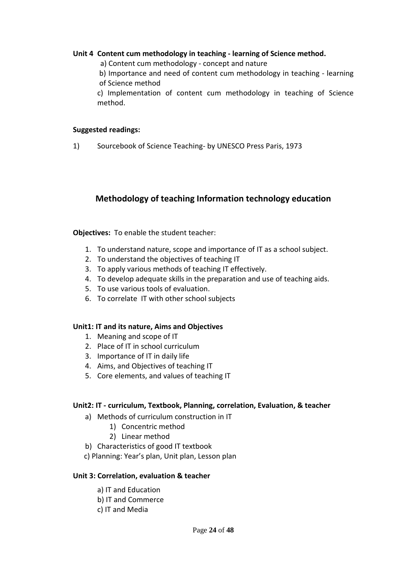#### **Unit 4 Content cum methodology in teaching - learning of Science method.**

a) Content cum methodology - concept and nature

b) Importance and need of content cum methodology in teaching - learning of Science method

c) Implementation of content cum methodology in teaching of Science method.

#### **Suggested readings:**

1) Sourcebook of Science Teaching- by UNESCO Press Paris, 1973

### **Methodology of teaching Information technology education**

**Objectives:** To enable the student teacher:

- 1. To understand nature, scope and importance of IT as a school subject.
- 2. To understand the objectives of teaching IT
- 3. To apply various methods of teaching IT effectively.
- 4. To develop adequate skills in the preparation and use of teaching aids.
- 5. To use various tools of evaluation.
- 6. To correlate IT with other school subjects

#### **Unit1: IT and its nature, Aims and Objectives**

- 1. Meaning and scope of IT
- 2. Place of IT in school curriculum
- 3. Importance of IT in daily life
- 4. Aims, and Objectives of teaching IT
- 5. Core elements, and values of teaching IT

#### **Unit2: IT - curriculum, Textbook, Planning, correlation, Evaluation, & teacher**

- a) Methods of curriculum construction in IT
	- 1) Concentric method
	- 2) Linear method
- b) Characteristics of good IT textbook
- c) Planning: Year's plan, Unit plan, Lesson plan

#### **Unit 3: Correlation, evaluation & teacher**

- a) IT and Education
- b) IT and Commerce
- c) IT and Media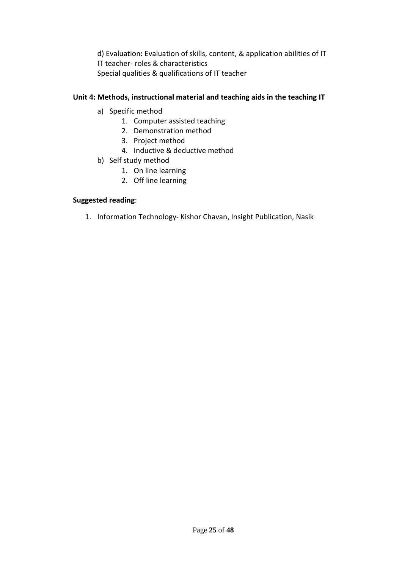d) Evaluation**:** Evaluation of skills, content, & application abilities of IT IT teacher- roles & characteristics Special qualities & qualifications of IT teacher

### **Unit 4: Methods, instructional material and teaching aids in the teaching IT**

- a) Specific method
	- 1. Computer assisted teaching
	- 2. Demonstration method
	- 3. Project method
	- 4. Inductive & deductive method
- b) Self study method
	- 1. On line learning
	- 2. Off line learning

#### **Suggested reading**:

1. Information Technology- Kishor Chavan, Insight Publication, Nasik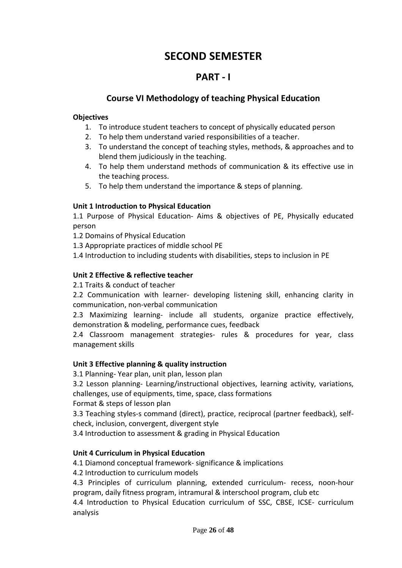# **SECOND SEMESTER**

## **PART - I**

### **Course VI Methodology of teaching Physical Education**

### **Objectives**

- 1. To introduce student teachers to concept of physically educated person
- 2. To help them understand varied responsibilities of a teacher.
- 3. To understand the concept of teaching styles, methods, & approaches and to blend them judiciously in the teaching.
- 4. To help them understand methods of communication & its effective use in the teaching process.
- 5. To help them understand the importance & steps of planning.

### **Unit 1 Introduction to Physical Education**

1.1 Purpose of Physical Education- Aims & objectives of PE, Physically educated person

1.2 Domains of Physical Education

1.3 Appropriate practices of middle school PE

1.4 Introduction to including students with disabilities, steps to inclusion in PE

### **Unit 2 Effective & reflective teacher**

2.1 Traits & conduct of teacher

2.2 Communication with learner- developing listening skill, enhancing clarity in communication, non-verbal communication

2.3 Maximizing learning- include all students, organize practice effectively, demonstration & modeling, performance cues, feedback

2.4 Classroom management strategies- rules & procedures for year, class management skills

### **Unit 3 Effective planning & quality instruction**

3.1 Planning- Year plan, unit plan, lesson plan

3.2 Lesson planning- Learning/instructional objectives, learning activity, variations, challenges, use of equipments, time, space, class formations

Format & steps of lesson plan

3.3 Teaching styles-s command (direct), practice, reciprocal (partner feedback), selfcheck, inclusion, convergent, divergent style

3.4 Introduction to assessment & grading in Physical Education

### **Unit 4 Curriculum in Physical Education**

4.1 Diamond conceptual framework- significance & implications

4.2 Introduction to curriculum models

4.3 Principles of curriculum planning, extended curriculum- recess, noon-hour program, daily fitness program, intramural & interschool program, club etc

4.4 Introduction to Physical Education curriculum of SSC, CBSE, ICSE- curriculum analysis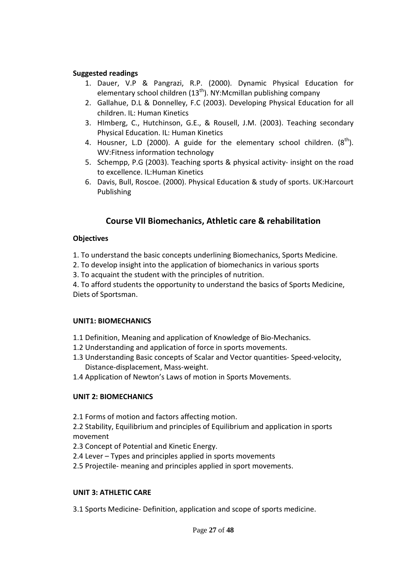#### **Suggested readings**

- 1. Dauer, V.P & Pangrazi, R.P. (2000). Dynamic Physical Education for elementary school children ( $13<sup>th</sup>$ ). NY:Mcmillan publishing company
- 2. Gallahue, D.L & Donnelley, F.C (2003). Developing Physical Education for all children. IL: Human Kinetics
- 3. HImberg, C., Hutchinson, G.E., & Rousell, J.M. (2003). Teaching secondary Physical Education. IL: Human Kinetics
- 4. Housner, L.D (2000). A guide for the elementary school children.  $(8<sup>th</sup>)$ . WV:Fitness information technology
- 5. Schempp, P.G (2003). Teaching sports & physical activity- insight on the road to excellence. IL:Human Kinetics
- 6. Davis, Bull, Roscoe. (2000). Physical Education & study of sports. UK:Harcourt Publishing

### **Course VII Biomechanics, Athletic care & rehabilitation**

### **Objectives**

- 1. To understand the basic concepts underlining Biomechanics, Sports Medicine.
- 2. To develop insight into the application of biomechanics in various sports
- 3. To acquaint the student with the principles of nutrition.

4. To afford students the opportunity to understand the basics of Sports Medicine, Diets of Sportsman.

### **UNIT1: BIOMECHANICS**

- 1.1 Definition, Meaning and application of Knowledge of Bio-Mechanics.
- 1.2 Understanding and application of force in sports movements.
- 1.3 Understanding Basic concepts of Scalar and Vector quantities- Speed-velocity, Distance-displacement, Mass-weight.
- 1.4 Application of Newton's Laws of motion in Sports Movements.

### **UNIT 2: BIOMECHANICS**

2.1 Forms of motion and factors affecting motion.

2.2 Stability, Equilibrium and principles of Equilibrium and application in sports movement

2.3 Concept of Potential and Kinetic Energy.

- 2.4 Lever Types and principles applied in sports movements
- 2.5 Projectile- meaning and principles applied in sport movements.

### **UNIT 3: ATHLETIC CARE**

3.1 Sports Medicine- Definition, application and scope of sports medicine.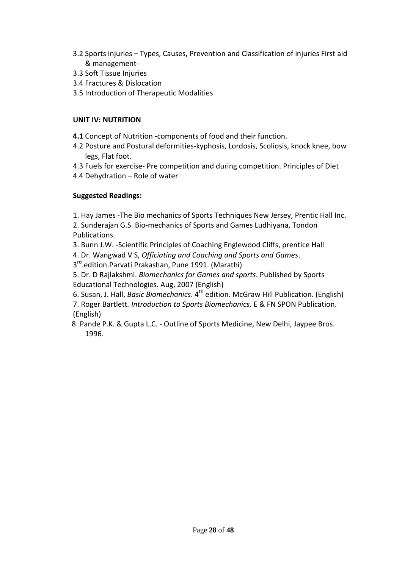- 3.2 Sports injuries Types, Causes, Prevention and Classification of injuries First aid & management-
- 3.3 Soft Tissue Injuries
- 3.4 Fractures & Dislocation
- 3.5 Introduction of Therapeutic Modalities

### **UNIT IV: NUTRITION**

- **4.1** Concept of Nutrition -components of food and their function.
- 4.2 Posture and Postural deformities-kyphosis, Lordosis, Scoliosis, knock knee, bow legs, Flat foot.
- 4.3 Fuels for exercise- Pre competition and during competition. Principles of Diet
- 4.4 Dehydration Role of water

### **Suggested Readings:**

- 1. Hay James -The Bio mechanics of Sports Techniques New Jersey, Prentic Hall Inc.
- 2. Sunderajan G.S. Bio-mechanics of Sports and Games Ludhiyana, Tondon Publications.
- 3. Bunn J.W. -Scientific Principles of Coaching Englewood Cliffs, prentice Hall
- 4. Dr. Wangwad V S, *Officiating and Coaching and Sports and Games*.
- 3<sup>rd</sup>.edition.Parvati Prakashan, Pune 1991. (Marathi)
- 5. Dr. D Rajlakshmi. *Biomechanics for Games and sports*. Published by Sports Educational Technologies. Aug, 2007 (English)
- 6. Susan, J. Hall, *Basic Biomechanics*. 4<sup>th</sup> edition. McGraw Hill Publication. (English)
- 7. Roger Bartlett*. Introduction to Sports Biomechanics*. E & FN SPON Publication. (English)
- 8. Pande P.K. & Gupta L.C. Outline of Sports Medicine, New Delhi, Jaypee Bros. 1996.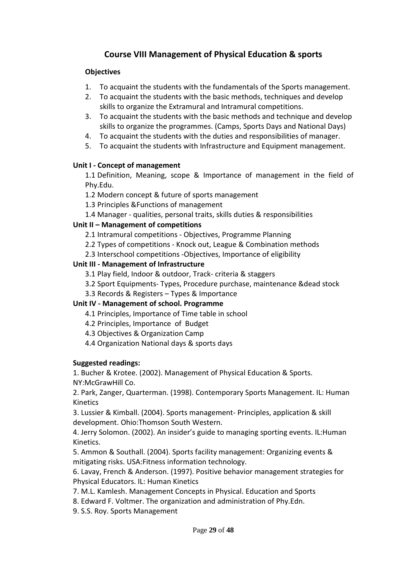### **Course VIII Management of Physical Education & sports**

### **Objectives**

- 1. To acquaint the students with the fundamentals of the Sports management.
- 2. To acquaint the students with the basic methods, techniques and develop skills to organize the Extramural and Intramural competitions.
- 3. To acquaint the students with the basic methods and technique and develop skills to organize the programmes. (Camps, Sports Days and National Days)
- 4. To acquaint the students with the duties and responsibilities of manager.
- 5. To acquaint the students with Infrastructure and Equipment management.

#### **Unit I - Concept of management**

1.1 Definition, Meaning, scope & Importance of management in the field of Phy.Edu.

1.2 Modern concept & future of sports management

1.3 Principles &Functions of management

1.4 Manager - qualities, personal traits, skills duties & responsibilities

#### **Unit II – Management of competitions**

2.1 Intramural competitions - Objectives, Programme Planning

2.2 Types of competitions - Knock out, League & Combination methods

2.3 Interschool competitions -Objectives, Importance of eligibility

#### **Unit III - Management of Infrastructure**

3.1 Play field, Indoor & outdoor, Track- criteria & staggers

- 3.2 Sport Equipments- Types, Procedure purchase, maintenance &dead stock
- 3.3 Records & Registers Types & Importance

### **Unit IV - Management of school. Programme**

- 4.1 Principles, Importance of Time table in school
- 4.2 Principles, Importance of Budget
- 4.3 Objectives & Organization Camp
- 4.4 Organization National days & sports days

### **Suggested readings:**

1. Bucher & Krotee. (2002). Management of Physical Education & Sports. NY:McGrawHill Co.

2. Park, Zanger, Quarterman. (1998). Contemporary Sports Management. IL: Human Kinetics

3. Lussier & Kimball. (2004). Sports management- Principles, application & skill development. Ohio:Thomson South Western.

4. Jerry Solomon. (2002). An insider's guide to managing sporting events. IL:Human Kinetics.

5. Ammon & Southall. (2004). Sports facility management: Organizing events & mitigating risks. USA:Fitness information technology.

6. Lavay, French & Anderson. (1997). Positive behavior management strategies for Physical Educators. IL: Human Kinetics

- 7. M.L. Kamlesh. Management Concepts in Physical. Education and Sports
- 8. Edward F. Voltmer. The organization and administration of Phy.Edn.
- 9. S.S. Roy. Sports Management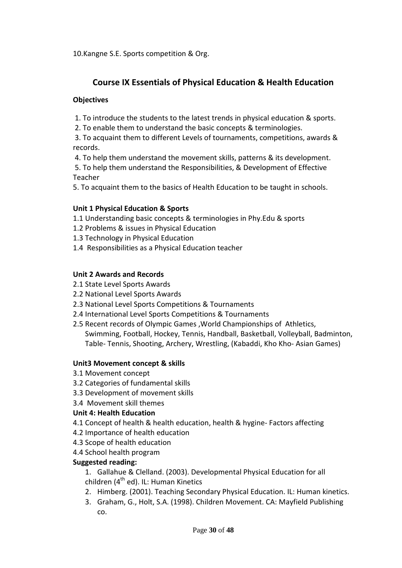10.Kangne S.E. Sports competition & Org.

### **Course IX Essentials of Physical Education & Health Education**

### **Objectives**

1. To introduce the students to the latest trends in physical education & sports.

2. To enable them to understand the basic concepts & terminologies.

 3. To acquaint them to different Levels of tournaments, competitions, awards & records.

4. To help them understand the movement skills, patterns & its development.

 5. To help them understand the Responsibilities, & Development of Effective Teacher

5. To acquaint them to the basics of Health Education to be taught in schools.

### **Unit 1 Physical Education & Sports**

1.1 Understanding basic concepts & terminologies in Phy.Edu & sports

- 1.2 Problems & issues in Physical Education
- 1.3 Technology in Physical Education
- 1.4 Responsibilities as a Physical Education teacher

### **Unit 2 Awards and Records**

- 2.1 State Level Sports Awards
- 2.2 National Level Sports Awards
- 2.3 National Level Sports Competitions & Tournaments
- 2.4 International Level Sports Competitions & Tournaments
- 2.5 Recent records of Olympic Games ,World Championships of Athletics, Swimming, Football, Hockey, Tennis, Handball, Basketball, Volleyball, Badminton, Table- Tennis, Shooting, Archery, Wrestling, (Kabaddi, Kho Kho- Asian Games)

### **Unit3 Movement concept & skills**

- 3.1 Movement concept
- 3.2 Categories of fundamental skills
- 3.3 Development of movement skills
- 3.4 Movement skill themes

### **Unit 4: Health Education**

- 4.1 Concept of health & health education, health & hygine- Factors affecting
- 4.2 Importance of health education
- 4.3 Scope of health education
- 4.4 School health program

### **Suggested reading:**

- 1. Gallahue & Clelland. (2003). Developmental Physical Education for all children  $(4<sup>th</sup>$  ed). IL: Human Kinetics
- 2. Himberg. (2001). Teaching Secondary Physical Education. IL: Human kinetics.
- 3. Graham, G., Holt, S.A. (1998). Children Movement. CA: Mayfield Publishing co.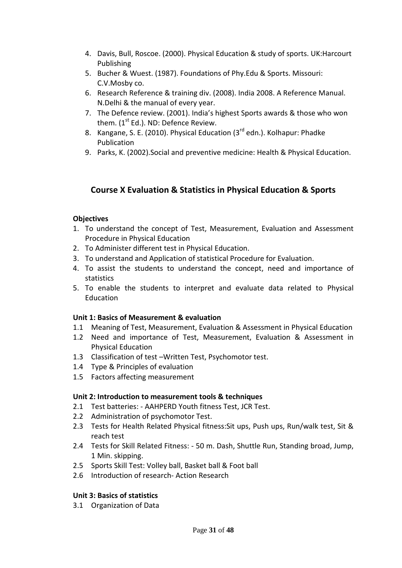- 4. Davis, Bull, Roscoe. (2000). Physical Education & study of sports. UK:Harcourt Publishing
- 5. Bucher & Wuest. (1987). Foundations of Phy.Edu & Sports. Missouri: C.V.Mosby co.
- 6. Research Reference & training div. (2008). India 2008. A Reference Manual. N.Delhi & the manual of every year.
- 7. The Defence review. (2001). India's highest Sports awards & those who won them.  $(1<sup>st</sup> Ed.)$ . ND: Defence Review.
- 8. Kangane, S. E. (2010). Physical Education (3<sup>rd</sup> edn.). Kolhapur: Phadke Publication
- 9. Parks, K. (2002).Social and preventive medicine: Health & Physical Education.

### **Course X Evaluation & Statistics in Physical Education & Sports**

### **Objectives**

- 1. To understand the concept of Test, Measurement, Evaluation and Assessment Procedure in Physical Education
- 2. To Administer different test in Physical Education.
- 3. To understand and Application of statistical Procedure for Evaluation.
- 4. To assist the students to understand the concept, need and importance of statistics
- 5. To enable the students to interpret and evaluate data related to Physical Education

### **Unit 1: Basics of Measurement & evaluation**

- 1.1 Meaning of Test, Measurement, Evaluation & Assessment in Physical Education
- 1.2 Need and importance of Test, Measurement, Evaluation & Assessment in Physical Education
- 1.3 Classification of test –Written Test, Psychomotor test.
- 1.4 Type & Principles of evaluation
- 1.5 Factors affecting measurement

### **Unit 2: Introduction to measurement tools & techniques**

- 2.1 Test batteries: AAHPERD Youth fitness Test, JCR Test.
- 2.2 Administration of psychomotor Test.
- 2.3 Tests for Health Related Physical fitness:Sit ups, Push ups, Run/walk test, Sit & reach test
- 2.4 Tests for Skill Related Fitness: 50 m. Dash, Shuttle Run, Standing broad, Jump, 1 Min. skipping.
- 2.5 Sports Skill Test: Volley ball, Basket ball & Foot ball
- 2.6 Introduction of research- Action Research

### **Unit 3: Basics of statistics**

3.1 Organization of Data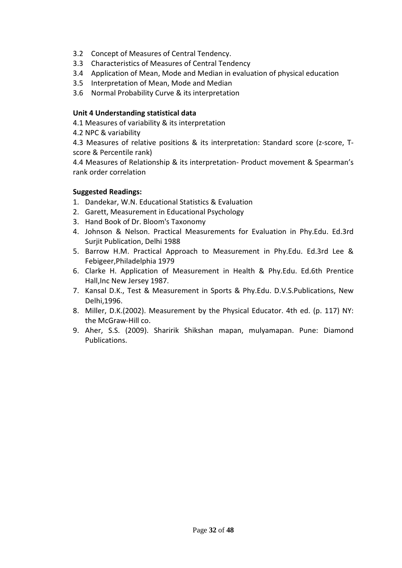- 3.2 Concept of Measures of Central Tendency.
- 3.3 Characteristics of Measures of Central Tendency
- 3.4 Application of Mean, Mode and Median in evaluation of physical education
- 3.5 Interpretation of Mean, Mode and Median
- 3.6 Normal Probability Curve & its interpretation

### **Unit 4 Understanding statistical data**

- 4.1 Measures of variability & its interpretation
- 4.2 NPC & variability

4.3 Measures of relative positions & its interpretation: Standard score (z-score, Tscore & Percentile rank)

4.4 Measures of Relationship & its interpretation- Product movement & Spearman's rank order correlation

### **Suggested Readings:**

- 1. Dandekar, W.N. Educational Statistics & Evaluation
- 2. Garett, Measurement in Educational Psychology
- 3. Hand Book of Dr. Bloom's Taxonomy
- 4. Johnson & Nelson. Practical Measurements for Evaluation in Phy.Edu. Ed.3rd Suriit Publication, Delhi 1988
- 5. Barrow H.M. Practical Approach to Measurement in Phy.Edu. Ed.3rd Lee & Febigeer,Philadelphia 1979
- 6. Clarke H. Application of Measurement in Health & Phy.Edu. Ed.6th Prentice Hall,Inc New Jersey 1987.
- 7. Kansal D.K., Test & Measurement in Sports & Phy.Edu. D.V.S.Publications, New Delhi,1996.
- 8. Miller, D.K.(2002). Measurement by the Physical Educator. 4th ed. (p. 117) NY: the McGraw-Hill co.
- 9. Aher, S.S. (2009). Sharirik Shikshan mapan, mulyamapan. Pune: Diamond Publications.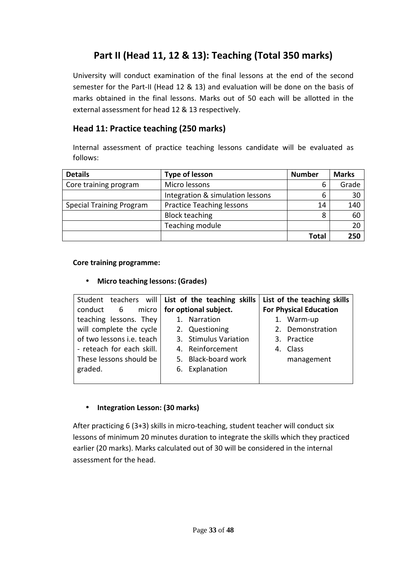# **Part II (Head 11, 12 & 13): Teaching (Total 350 marks)**

University will conduct examination of the final lessons at the end of the second semester for the Part-II (Head 12 & 13) and evaluation will be done on the basis of marks obtained in the final lessons. Marks out of 50 each will be allotted in the external assessment for head 12 & 13 respectively.

### **Head 11: Practice teaching (250 marks)**

Internal assessment of practice teaching lessons candidate will be evaluated as follows:

| <b>Details</b>                                                      | <b>Type of lesson</b>            | <b>Number</b> | <b>Marks</b> |
|---------------------------------------------------------------------|----------------------------------|---------------|--------------|
| Core training program                                               | Micro lessons                    | b             | Grade        |
|                                                                     | Integration & simulation lessons | 6             | 30           |
| <b>Practice Teaching lessons</b><br><b>Special Training Program</b> |                                  | 14            | 140          |
|                                                                     | <b>Block teaching</b>            | 8             | 60           |
|                                                                     | Teaching module                  |               | 20           |
|                                                                     |                                  | <b>Total</b>  | 250          |

#### **Core training programme:**

• **Micro teaching lessons: (Grades)** 

|                           | Student teachers will   List of the teaching skills | List of the teaching skills   |
|---------------------------|-----------------------------------------------------|-------------------------------|
| conduct 6                 | micro   for optional subject.                       | <b>For Physical Education</b> |
| teaching lessons. They    | 1. Narration                                        | 1. Warm-up                    |
| will complete the cycle   | 2. Questioning                                      | 2. Demonstration              |
| of two lessons i.e. teach | 3. Stimulus Variation                               | 3. Practice                   |
| - reteach for each skill. | 4. Reinforcement                                    | 4. Class                      |
| These lessons should be   | 5. Black-board work                                 | management                    |
| graded.                   | 6. Explanation                                      |                               |
|                           |                                                     |                               |

### • **Integration Lesson: (30 marks)**

After practicing 6 (3+3) skills in micro-teaching, student teacher will conduct six lessons of minimum 20 minutes duration to integrate the skills which they practiced earlier (20 marks). Marks calculated out of 30 will be considered in the internal assessment for the head.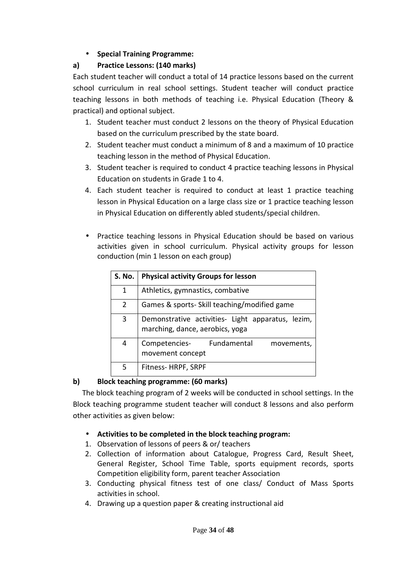### • **Special Training Programme:**

### **a) Practice Lessons: (140 marks)**

Each student teacher will conduct a total of 14 practice lessons based on the current school curriculum in real school settings. Student teacher will conduct practice teaching lessons in both methods of teaching i.e. Physical Education (Theory & practical) and optional subject.

- 1. Student teacher must conduct 2 lessons on the theory of Physical Education based on the curriculum prescribed by the state board.
- 2. Student teacher must conduct a minimum of 8 and a maximum of 10 practice teaching lesson in the method of Physical Education.
- 3. Student teacher is required to conduct 4 practice teaching lessons in Physical Education on students in Grade 1 to 4.
- 4. Each student teacher is required to conduct at least 1 practice teaching lesson in Physical Education on a large class size or 1 practice teaching lesson in Physical Education on differently abled students/special children.
- Practice teaching lessons in Physical Education should be based on various activities given in school curriculum. Physical activity groups for lesson conduction (min 1 lesson on each group)

| S. No.         | <b>Physical activity Groups for lesson</b>                                           |
|----------------|--------------------------------------------------------------------------------------|
| 1              | Athletics, gymnastics, combative                                                     |
| $\overline{2}$ | Games & sports- Skill teaching/modified game                                         |
| 3              | Demonstrative activities- Light apparatus, lezim,<br>marching, dance, aerobics, yoga |
| 4              | Competencies- Fundamental<br>movements,<br>movement concept                          |
| 5              | Fitness-HRPF, SRPF                                                                   |

### **b) Block teaching programme: (60 marks)**

 The block teaching program of 2 weeks will be conducted in school settings. In the Block teaching programme student teacher will conduct 8 lessons and also perform other activities as given below:

### • **Activities to be completed in the block teaching program:**

- 1. Observation of lessons of peers & or/ teachers
- 2. Collection of information about Catalogue, Progress Card, Result Sheet, General Register, School Time Table, sports equipment records, sports Competition eligibility form, parent teacher Association
- 3. Conducting physical fitness test of one class/ Conduct of Mass Sports activities in school.
- 4. Drawing up a question paper & creating instructional aid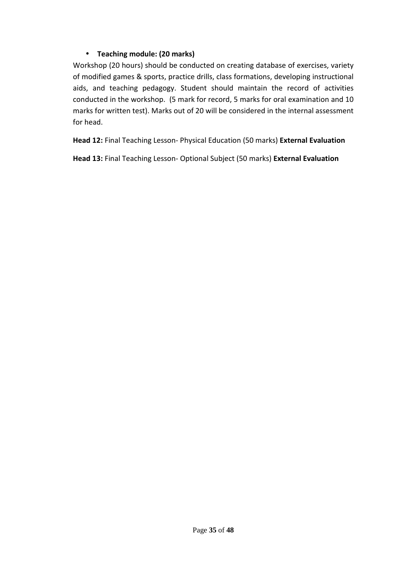### • **Teaching module: (20 marks)**

Workshop (20 hours) should be conducted on creating database of exercises, variety of modified games & sports, practice drills, class formations, developing instructional aids, and teaching pedagogy. Student should maintain the record of activities conducted in the workshop. (5 mark for record, 5 marks for oral examination and 10 marks for written test). Marks out of 20 will be considered in the internal assessment for head.

**Head 12:** Final Teaching Lesson- Physical Education (50 marks) **External Evaluation**

**Head 13:** Final Teaching Lesson- Optional Subject (50 marks) **External Evaluation**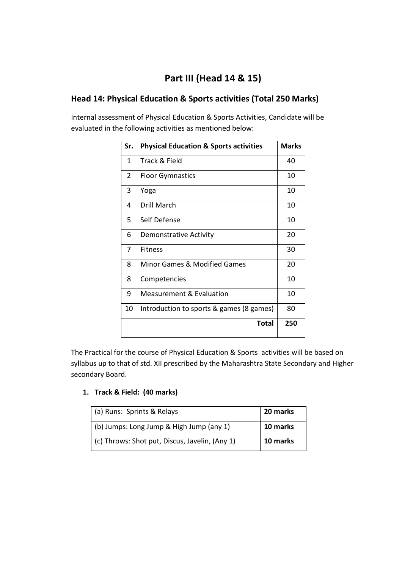# **Part III (Head 14 & 15)**

### **Head 14: Physical Education & Sports activities (Total 250 Marks)**

Internal assessment of Physical Education & Sports Activities, Candidate will be evaluated in the following activities as mentioned below:

| Sr.          | <b>Physical Education &amp; Sports activities</b> | <b>Marks</b> |
|--------------|---------------------------------------------------|--------------|
| $\mathbf{1}$ | Track & Field                                     | 40           |
| 2            | <b>Floor Gymnastics</b>                           | 10           |
| 3            | Yoga                                              | 10           |
| 4            | Drill March                                       | 10           |
| 5            | Self Defense                                      | 10           |
| 6            | <b>Demonstrative Activity</b>                     | 20           |
| 7            | <b>Fitness</b>                                    | 30           |
| 8            | <b>Minor Games &amp; Modified Games</b>           | 20           |
| 8            | Competencies                                      | 10           |
| 9            | <b>Measurement &amp; Evaluation</b>               | 10           |
| 10           | Introduction to sports & games (8 games)          | 80           |
|              | Total                                             | 250          |

The Practical for the course of Physical Education & Sports activities will be based on syllabus up to that of std. XII prescribed by the Maharashtra State Secondary and Higher secondary Board.

### **1. Track & Field:****(40 marks)**

| (a) Runs: Sprints & Relays                     | 20 marks |
|------------------------------------------------|----------|
| (b) Jumps: Long Jump & High Jump (any 1)       | 10 marks |
| (c) Throws: Shot put, Discus, Javelin, (Any 1) | 10 marks |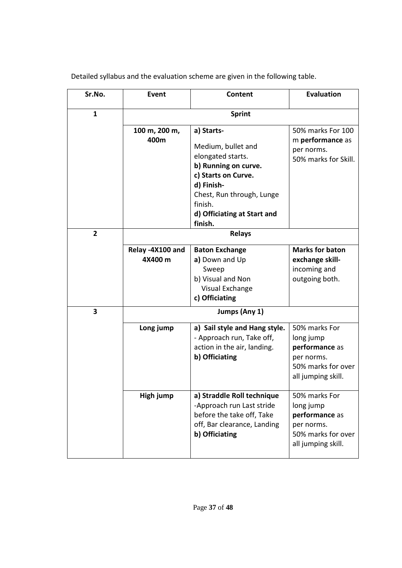Detailed syllabus and the evaluation scheme are given in the following table.

| Sr.No.         | Event                       | Content                                                                                                                                                                                              | <b>Evaluation</b>                                                                                      |
|----------------|-----------------------------|------------------------------------------------------------------------------------------------------------------------------------------------------------------------------------------------------|--------------------------------------------------------------------------------------------------------|
| $\mathbf{1}$   |                             | <b>Sprint</b>                                                                                                                                                                                        |                                                                                                        |
|                | 100 m, 200 m,<br>400m       | a) Starts-<br>Medium, bullet and<br>elongated starts.<br>b) Running on curve.<br>c) Starts on Curve.<br>d) Finish-<br>Chest, Run through, Lunge<br>finish.<br>d) Officiating at Start and<br>finish. | 50% marks For 100<br>m performance as<br>per norms.<br>50% marks for Skill.                            |
| $\overline{2}$ |                             | <b>Relays</b>                                                                                                                                                                                        |                                                                                                        |
|                | Relay -4X100 and<br>4X400 m | <b>Baton Exchange</b><br>a) Down and Up<br>Sweep<br>b) Visual and Non<br>Visual Exchange<br>c) Officiating                                                                                           | <b>Marks for baton</b><br>exchange skill-<br>incoming and<br>outgoing both.                            |
| 3              |                             | Jumps (Any 1)                                                                                                                                                                                        |                                                                                                        |
|                | Long jump                   | a) Sail style and Hang style.<br>- Approach run, Take off,<br>action in the air, landing.<br>b) Officiating                                                                                          | 50% marks For<br>long jump<br>performance as<br>per norms.<br>50% marks for over<br>all jumping skill. |
|                | High jump                   | a) Straddle Roll technique<br>-Approach run Last stride<br>before the take off, Take<br>off, Bar clearance, Landing<br>b) Officiating                                                                | 50% marks For<br>long jump<br>performance as<br>per norms.<br>50% marks for over<br>all jumping skill. |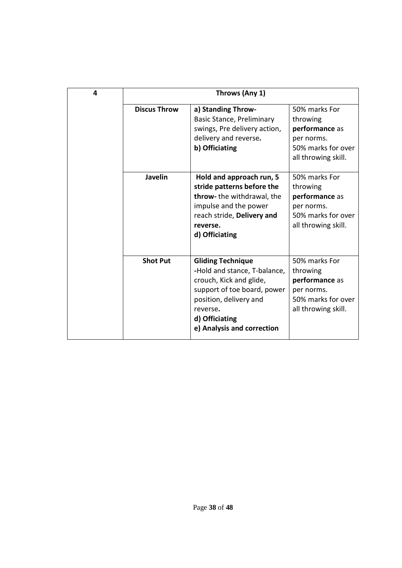| 4 |                     | Throws (Any 1)                                                                                                                                                                                           |                                                                                                        |
|---|---------------------|----------------------------------------------------------------------------------------------------------------------------------------------------------------------------------------------------------|--------------------------------------------------------------------------------------------------------|
|   | <b>Discus Throw</b> | a) Standing Throw-<br>Basic Stance, Preliminary<br>swings, Pre delivery action,<br>delivery and reverse.<br>b) Officiating                                                                               | 50% marks For<br>throwing<br>performance as<br>per norms.<br>50% marks for over<br>all throwing skill. |
|   | <b>Javelin</b>      | Hold and approach run, 5<br>stride patterns before the<br>throw- the withdrawal, the<br>impulse and the power<br>reach stride, Delivery and<br>reverse.<br>d) Officiating                                | 50% marks For<br>throwing<br>performance as<br>per norms.<br>50% marks for over<br>all throwing skill. |
|   | <b>Shot Put</b>     | <b>Gliding Technique</b><br>-Hold and stance, T-balance,<br>crouch, Kick and glide,<br>support of toe board, power<br>position, delivery and<br>reverse.<br>d) Officiating<br>e) Analysis and correction | 50% marks For<br>throwing<br>performance as<br>per norms.<br>50% marks for over<br>all throwing skill. |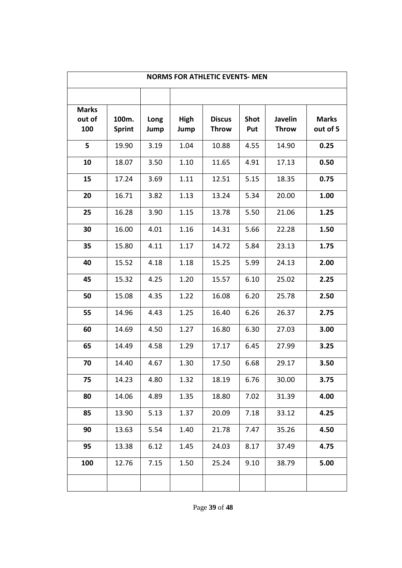| <b>NORMS FOR ATHLETIC EVENTS- MEN</b> |                        |              |              |                               |                    |                                |                          |
|---------------------------------------|------------------------|--------------|--------------|-------------------------------|--------------------|--------------------------------|--------------------------|
|                                       |                        |              |              |                               |                    |                                |                          |
| <b>Marks</b><br>out of<br>100         | 100m.<br><b>Sprint</b> | Long<br>Jump | High<br>Jump | <b>Discus</b><br><b>Throw</b> | <b>Shot</b><br>Put | <b>Javelin</b><br><b>Throw</b> | <b>Marks</b><br>out of 5 |
| 5                                     | 19.90                  | 3.19         | 1.04         | 10.88                         | 4.55               | 14.90                          | 0.25                     |
| 10                                    | 18.07                  | 3.50         | 1.10         | 11.65                         | 4.91               | 17.13                          | 0.50                     |
| 15                                    | 17.24                  | 3.69         | 1.11         | 12.51                         | 5.15               | 18.35                          | 0.75                     |
| 20                                    | 16.71                  | 3.82         | 1.13         | 13.24                         | 5.34               | 20.00                          | 1.00                     |
| 25                                    | 16.28                  | 3.90         | 1.15         | 13.78                         | 5.50               | 21.06                          | 1.25                     |
| 30                                    | 16.00                  | 4.01         | 1.16         | 14.31                         | 5.66               | 22.28                          | 1.50                     |
| 35                                    | 15.80                  | 4.11         | 1.17         | 14.72                         | 5.84               | 23.13                          | 1.75                     |
| 40                                    | 15.52                  | 4.18         | 1.18         | 15.25                         | 5.99               | 24.13                          | 2.00                     |
| 45                                    | 15.32                  | 4.25         | 1.20         | 15.57                         | 6.10               | 25.02                          | 2.25                     |
| 50                                    | 15.08                  | 4.35         | 1.22         | 16.08                         | 6.20               | 25.78                          | 2.50                     |
| 55                                    | 14.96                  | 4.43         | 1.25         | 16.40                         | 6.26               | 26.37                          | 2.75                     |
| 60                                    | 14.69                  | 4.50         | 1.27         | 16.80                         | 6.30               | 27.03                          | 3.00                     |
| 65                                    | 14.49                  | 4.58         | 1.29         | 17.17                         | 6.45               | 27.99                          | 3.25                     |
| 70                                    | 14.40                  | 4.67         | 1.30         | 17.50                         | 6.68               | 29.17                          | 3.50                     |
| 75                                    | 14.23                  | 4.80         | 1.32         | 18.19                         | 6.76               | 30.00                          | 3.75                     |
| 80                                    | 14.06                  | 4.89         | 1.35         | 18.80                         | 7.02               | 31.39                          | 4.00                     |
| 85                                    | 13.90                  | 5.13         | 1.37         | 20.09                         | 7.18               | 33.12                          | 4.25                     |
| 90                                    | 13.63                  | 5.54         | 1.40         | 21.78                         | 7.47               | 35.26                          | 4.50                     |
| 95                                    | 13.38                  | 6.12         | 1.45         | 24.03                         | 8.17               | 37.49                          | 4.75                     |
| 100                                   | 12.76                  | 7.15         | 1.50         | 25.24                         | 9.10               | 38.79                          | 5.00                     |
|                                       |                        |              |              |                               |                    |                                |                          |

Page **39** of **48**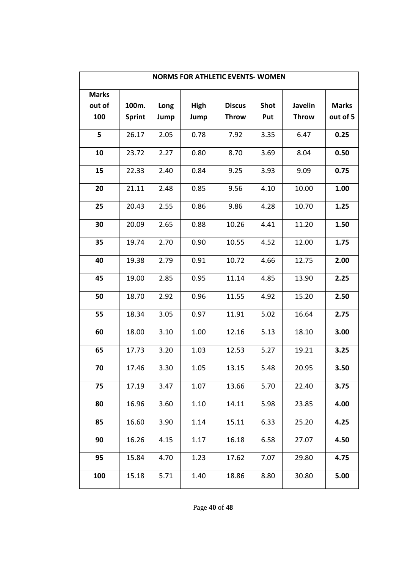| <b>NORMS FOR ATHLETIC EVENTS- WOMEN</b> |               |      |      |               |             |              |              |
|-----------------------------------------|---------------|------|------|---------------|-------------|--------------|--------------|
| <b>Marks</b>                            |               |      |      |               |             |              |              |
| out of                                  | 100m.         | Long | High | <b>Discus</b> | <b>Shot</b> | Javelin      | <b>Marks</b> |
| 100                                     | <b>Sprint</b> | Jump | Jump | <b>Throw</b>  | Put         | <b>Throw</b> | out of 5     |
| 5                                       | 26.17         | 2.05 | 0.78 | 7.92          | 3.35        | 6.47         | 0.25         |
| 10                                      | 23.72         | 2.27 | 0.80 | 8.70          | 3.69        | 8.04         | 0.50         |
| 15                                      | 22.33         | 2.40 | 0.84 | 9.25          | 3.93        | 9.09         | 0.75         |
| 20                                      | 21.11         | 2.48 | 0.85 | 9.56          | 4.10        | 10.00        | 1.00         |
| 25                                      | 20.43         | 2.55 | 0.86 | 9.86          | 4.28        | 10.70        | 1.25         |
| 30                                      | 20.09         | 2.65 | 0.88 | 10.26         | 4.41        | 11.20        | 1.50         |
| 35                                      | 19.74         | 2.70 | 0.90 | 10.55         | 4.52        | 12.00        | 1.75         |
| 40                                      | 19.38         | 2.79 | 0.91 | 10.72         | 4.66        | 12.75        | 2.00         |
| 45                                      | 19.00         | 2.85 | 0.95 | 11.14         | 4.85        | 13.90        | 2.25         |
| 50                                      | 18.70         | 2.92 | 0.96 | 11.55         | 4.92        | 15.20        | 2.50         |
| 55                                      | 18.34         | 3.05 | 0.97 | 11.91         | 5.02        | 16.64        | 2.75         |
| 60                                      | 18.00         | 3.10 | 1.00 | 12.16         | 5.13        | 18.10        | 3.00         |
| 65                                      | 17.73         | 3.20 | 1.03 | 12.53         | 5.27        | 19.21        | 3.25         |
| 70                                      | 17.46         | 3.30 | 1.05 | 13.15         | 5.48        | 20.95        | 3.50         |
| 75                                      | 17.19         | 3.47 | 1.07 | 13.66         | 5.70        | 22.40        | 3.75         |
| 80                                      | 16.96         | 3.60 | 1.10 | 14.11         | 5.98        | 23.85        | 4.00         |
| 85                                      | 16.60         | 3.90 | 1.14 | 15.11         | 6.33        | 25.20        | 4.25         |
| 90                                      | 16.26         | 4.15 | 1.17 | 16.18         | 6.58        | 27.07        | 4.50         |
| 95                                      | 15.84         | 4.70 | 1.23 | 17.62         | 7.07        | 29.80        | 4.75         |
| 100                                     | 15.18         | 5.71 | 1.40 | 18.86         | 8.80        | 30.80        | 5.00         |

Page **40** of **48**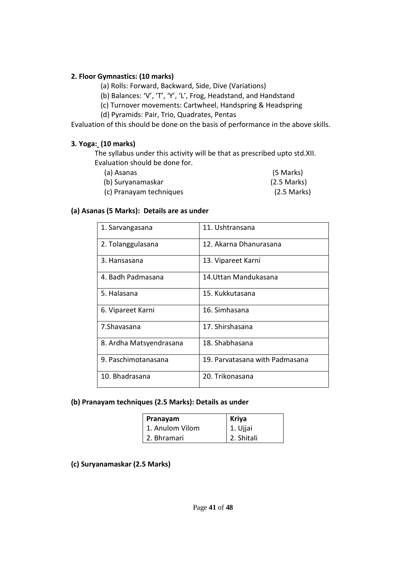#### **2. Floor Gymnastics: (10 marks)**

(a) Rolls: Forward, Backward, Side, Dive (Variations)

- (b) Balances: 'V', 'T', 'Y', 'L', Frog, Headstand, and Handstand
- (c) Turnover movements: Cartwheel, Handspring & Headspring
- (d) Pyramids: Pair, Trio, Quadrates, Pentas

Evaluation of this should be done on the basis of performance in the above skills.

### **3***.* **Yoga: (10 marks)**

The syllabus under this activity will be that as prescribed upto std.XII. Evaluation should be done for.

| (a) Asanas              | (5 Marks)     |
|-------------------------|---------------|
| (b) Suryanamaskar       | $(2.5$ Marks) |
| (c) Pranayam techniques | $(2.5$ Marks) |

### **(a) Asanas (5 Marks): Details are as under**

| 1. Sarvangasana         | 11. Ushtransana                |
|-------------------------|--------------------------------|
| 2. Tolanggulasana       | 12. Akarna Dhanurasana         |
| 3. Hansasana            | 13. Vipareet Karni             |
| 4. Badh Padmasana       | 14. Uttan Mandukasana          |
| 5. Halasana             | 15. Kukkutasana                |
| 6. Vipareet Karni       | 16. Simhasana                  |
| 7. Shavasana            | 17. Shirshasana                |
| 8. Ardha Matsyendrasana | 18. Shabhasana                 |
| 9. Paschimotanasana     | 19. Parvatasana with Padmasana |
| 10. Bhadrasana          | 20. Trikonasana                |

#### **(b) Pranayam techniques (2.5 Marks): Details as under**

| Pranayam        | <b>Kriya</b> |
|-----------------|--------------|
| 1. Anulom Vilom | 1. Ujjai     |
| 2. Bhramari     | 2. Shitali   |

### **(c) Suryanamaskar (2.5 Marks)**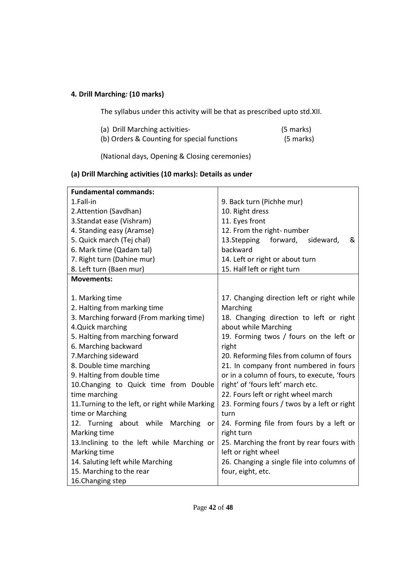### **4***.* **Drill Marching***:* **(10 marks)**

The syllabus under this activity will be that as prescribed upto std.XII.

| (a) Drill Marching activities-              | (5 marks) |
|---------------------------------------------|-----------|
| (b) Orders & Counting for special functions | (5 marks) |

(National days, Opening & Closing ceremonies)

### **(a) Drill Marching activities (10 marks): Details as under**

| <b>Fundamental commands:</b>                    |                                             |
|-------------------------------------------------|---------------------------------------------|
| 1.Fall-in                                       | 9. Back turn (Pichhe mur)                   |
| 2.Attention (Savdhan)                           | 10. Right dress                             |
| 3. Standat ease (Vishram)                       | 11. Eyes front                              |
| 4. Standing easy (Aramse)                       | 12. From the right- number                  |
| 5. Quick march (Tej chal)                       | 13.Stepping<br>forward,<br>&<br>sideward,   |
| 6. Mark time (Qadam tal)                        | backward                                    |
| 7. Right turn (Dahine mur)                      | 14. Left or right or about turn             |
| 8. Left turn (Baen mur)                         | 15. Half left or right turn                 |
| <b>Movements:</b>                               |                                             |
|                                                 |                                             |
| 1. Marking time                                 | 17. Changing direction left or right while  |
| 2. Halting from marking time                    | Marching                                    |
| 3. Marching forward (From marking time)         | 18. Changing direction to left or right     |
| 4.Quick marching                                | about while Marching                        |
| 5. Halting from marching forward                | 19. Forming twos / fours on the left or     |
| 6. Marching backward                            | right                                       |
| 7. Marching sideward                            | 20. Reforming files from column of fours    |
| 8. Double time marching                         | 21. In company front numbered in fours      |
| 9. Halting from double time                     | or in a column of fours, to execute, 'fours |
| 10.Changing to Quick time from Double           | right' of 'fours left' march etc.           |
| time marching                                   | 22. Fours left or right wheel march         |
| 11. Turning to the left, or right while Marking | 23. Forming fours / twos by a left or right |
| time or Marching                                | turn                                        |
| 12. Turning about while Marching<br>or          | 24. Forming file from fours by a left or    |
| Marking time                                    | right turn                                  |
| 13. Inclining to the left while Marching or     | 25. Marching the front by rear fours with   |
| Marking time                                    | left or right wheel                         |
| 14. Saluting left while Marching                | 26. Changing a single file into columns of  |
| 15. Marching to the rear                        | four, eight, etc.                           |
| 16. Changing step                               |                                             |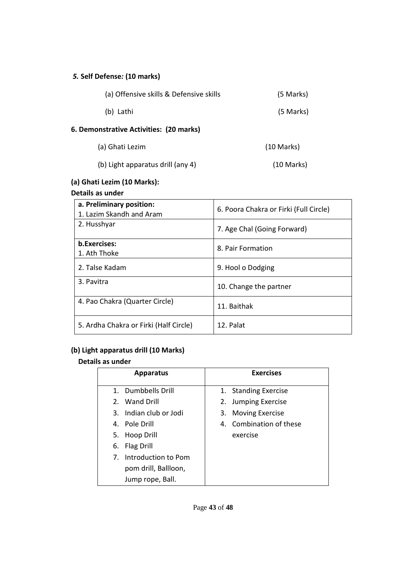### *5.* **Self Defense***:* **(10 marks)**

| (a) Offensive skills & Defensive skills | (5 Marks)            |
|-----------------------------------------|----------------------|
| (b) Lathi                               | (5 Marks)            |
| 6. Demonstrative Activities: (20 marks) |                      |
| (a) Ghati Lezim                         | $(10 \text{ Marks})$ |
| (b) Light apparatus drill (any 4)       | $(10 \text{ Marks})$ |

### **(a) Ghati Lezim (10 Marks):**

### **Details as under**

| a. Preliminary position:<br>1. Lazim Skandh and Aram | 6. Poora Chakra or Firki (Full Circle) |
|------------------------------------------------------|----------------------------------------|
| 2. Husshyar                                          | 7. Age Chal (Going Forward)            |
| b.Exercises:<br>1. Ath Thoke                         | 8. Pair Formation                      |
| 2. Talse Kadam                                       | 9. Hool o Dodging                      |
| 3. Pavitra                                           | 10. Change the partner                 |
| 4. Pao Chakra (Quarter Circle)                       | 11. Baithak                            |
| 5. Ardha Chakra or Firki (Half Circle)               | 12. Palat                              |

### **(b) Light apparatus drill (10 Marks)**

### **Details as under**

|                | <b>Apparatus</b>       | <b>Exercises</b>        |
|----------------|------------------------|-------------------------|
|                | 1. Dumbbells Drill     | 1. Standing Exercise    |
|                | 2. Wand Drill          | 2. Jumping Exercise     |
|                | 3. Indian club or Jodi | 3. Moving Exercise      |
|                | 4. Pole Drill          | 4. Combination of these |
| 5.             | Hoop Drill             | exercise                |
| 6.             | Flag Drill             |                         |
| 7 <sub>1</sub> | Introduction to Pom    |                         |
|                | pom drill, Ballloon,   |                         |
|                | Jump rope, Ball.       |                         |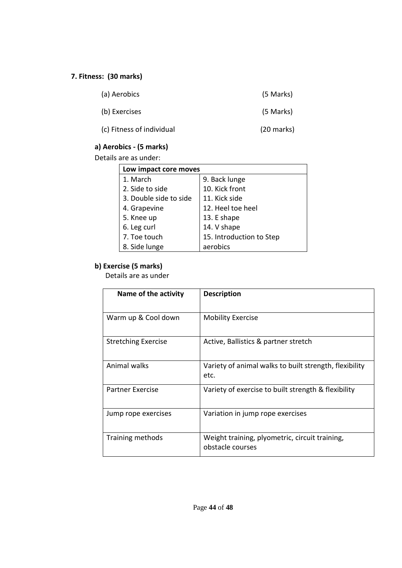### **7. Fitness: (30 marks)**

| (a) Aerobics              | (5 Marks)            |
|---------------------------|----------------------|
| (b) Exercises             | (5 Marks)            |
| (c) Fitness of individual | $(20 \text{ marks})$ |

### **a) Aerobics - (5 marks)**

Details are as under:

| Low impact core moves  |                          |  |  |
|------------------------|--------------------------|--|--|
| 1. March               | 9. Back lunge            |  |  |
| 2. Side to side        | 10. Kick front           |  |  |
| 3. Double side to side | 11. Kick side            |  |  |
| 4. Grapevine           | 12. Heel toe heel        |  |  |
| 5. Knee up             | 13. E shape              |  |  |
| 6. Leg curl            | 14. V shape              |  |  |
| 7. Toe touch           | 15. Introduction to Step |  |  |
| 8. Side lunge          | aerobics                 |  |  |

### **b) Exercise (5 marks)**

Details are as under

| Name of the activity       | <b>Description</b>                                                 |
|----------------------------|--------------------------------------------------------------------|
| Warm up & Cool down        | <b>Mobility Exercise</b>                                           |
| <b>Stretching Exercise</b> | Active, Ballistics & partner stretch                               |
| Animal walks               | Variety of animal walks to built strength, flexibility<br>etc.     |
| <b>Partner Exercise</b>    | Variety of exercise to built strength & flexibility                |
| Jump rope exercises        | Variation in jump rope exercises                                   |
| Training methods           | Weight training, plyometric, circuit training,<br>obstacle courses |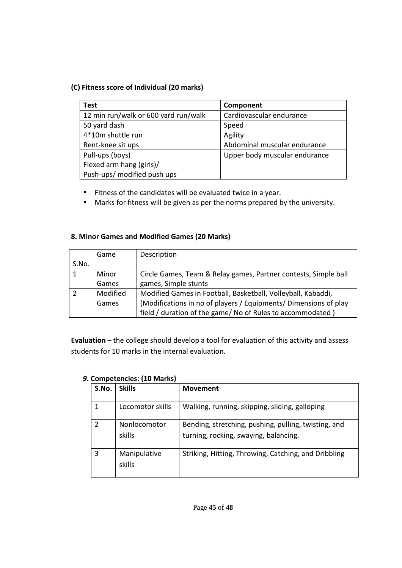### **(C) Fitness score of Individual (20 marks)**

| Test                                 | Component                     |
|--------------------------------------|-------------------------------|
| 12 min run/walk or 600 yard run/walk | Cardiovascular endurance      |
| 50 yard dash                         | Speed                         |
| 4*10m shuttle run                    | Agility                       |
| Bent-knee sit ups                    | Abdominal muscular endurance  |
| Pull-ups (boys)                      | Upper body muscular endurance |
| Flexed arm hang (girls)/             |                               |
| Push-ups/ modified push ups          |                               |

- Fitness of the candidates will be evaluated twice in a year.
- Marks for fitness will be given as per the norms prepared by the university.

### **8. Minor Games and Modified Games (20 Marks)**

|             | Game     | Description                                                      |
|-------------|----------|------------------------------------------------------------------|
| S.No.       |          |                                                                  |
| $\mathbf 1$ | Minor    | Circle Games, Team & Relay games, Partner contests, Simple ball  |
|             | Games    | games, Simple stunts                                             |
|             | Modified | Modified Games in Football, Basketball, Volleyball, Kabaddi,     |
|             | Games    | (Modifications in no of players / Equipments/ Dimensions of play |
|             |          | field / duration of the game/ No of Rules to accommodated )      |

**Evaluation** – the college should develop a tool for evaluation of this activity and assess students for 10 marks in the internal evaluation.

| S.No. | <b>Skills</b>          | <b>Movement</b>                                                                               |
|-------|------------------------|-----------------------------------------------------------------------------------------------|
|       | Locomotor skills       | Walking, running, skipping, sliding, galloping                                                |
|       | Nonlocomotor<br>skills | Bending, stretching, pushing, pulling, twisting, and<br>turning, rocking, swaying, balancing. |
| 3     | Manipulative<br>skills | Striking, Hitting, Throwing, Catching, and Dribbling                                          |

### *9.* **Competencies: (10 Marks)**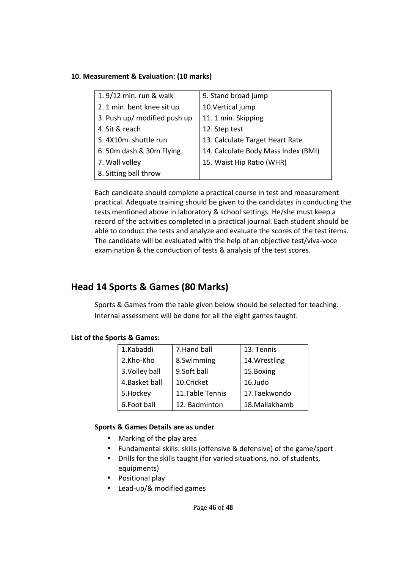#### **10. Measurement & Evaluation: (10 marks)**

| 1. 9/12 min. run & walk      | 9. Stand broad jump                 |
|------------------------------|-------------------------------------|
| 2. 1 min. bent knee sit up   | 10.Vertical jump                    |
| 3. Push up/ modified push up | 11. 1 min. Skipping                 |
| 4. Sit & reach               | 12. Step test                       |
| 5.4X10m. shuttle run         | 13. Calculate Target Heart Rate     |
| 6.50m dash & 30m Flying      | 14. Calculate Body Mass Index (BMI) |
| 7. Wall volley               | 15. Waist Hip Ratio (WHR)           |
| 8. Sitting ball throw        |                                     |

Each candidate should complete a practical course in test and measurement practical. Adequate training should be given to the candidates in conducting the tests mentioned above in laboratory & school settings. He/she must keep a record of the activities completed in a practical journal. Each student should be able to conduct the tests and analyze and evaluate the scores of the test items. The candidate will be evaluated with the help of an objective test/viva-voce examination & the conduction of tests & analysis of the test scores.

### **Head 14 Sports & Games (80 Marks)**

Sports & Games from the table given below should be selected for teaching. Internal assessment will be done for all the eight games taught.

### **List of the Sports & Games:**

| 1.Kabaddi      | 7. Hand ball     | 13. Tennis    |
|----------------|------------------|---------------|
| 2.Kho-Kho      | 8.Swimming       | 14. Wrestling |
| 3. Volley ball | 9.Soft ball      | 15.Boxing     |
| 4. Basket ball | 10.Cricket       | 16.Judo       |
| 5.Hockey       | 11. Table Tennis | 17.Taekwondo  |
| 6.Foot ball    | 12. Badminton    | 18.Mallakhamb |
|                |                  |               |

### **Sports & Games Details are as under**

- Marking of the play area
- Fundamental skills: skills (offensive & defensive) of the game/sport
- Drills for the skills taught (for varied situations, no. of students, equipments)
- Positional play
- Lead-up/& modified games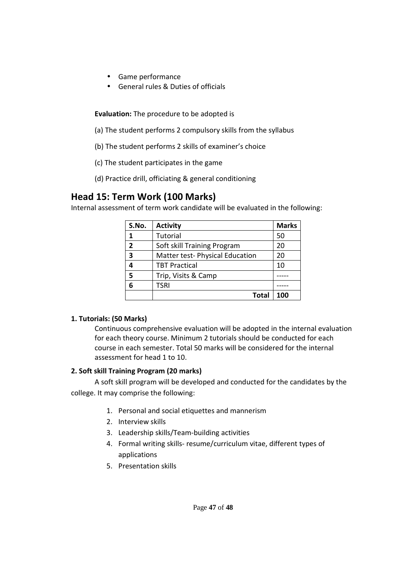- Game performance
- General rules & Duties of officials

**Evaluation:** The procedure to be adopted is

- (a) The student performs 2 compulsory skills from the syllabus
- (b) The student performs 2 skills of examiner's choice
- (c) The student participates in the game
- (d) Practice drill, officiating & general conditioning

### **Head 15: Term Work (100 Marks)**

Internal assessment of term work candidate will be evaluated in the following:

| S.No.                    | <b>Activity</b>                 | <b>Marks</b> |
|--------------------------|---------------------------------|--------------|
| 1                        | Tutorial                        | 50           |
| $\overline{\phantom{a}}$ | Soft skill Training Program     | 20           |
| 3                        | Matter test- Physical Education | 20           |
|                          | <b>TBT Practical</b>            | 10           |
| 5                        | Trip, Visits & Camp             |              |
| 6                        | <b>TSRI</b>                     |              |
|                          | Total                           | 100          |

#### **1. Tutorials: (50 Marks)**

Continuous comprehensive evaluation will be adopted in the internal evaluation for each theory course. Minimum 2 tutorials should be conducted for each course in each semester. Total 50 marks will be considered for the internal assessment for head 1 to 10.

### **2. Soft skill Training Program (20 marks)**

 A soft skill program will be developed and conducted for the candidates by the college. It may comprise the following:

- 1. Personal and social etiquettes and mannerism
- 2. Interview skills
- 3. Leadership skills/Team-building activities
- 4. Formal writing skills- resume/curriculum vitae, different types of applications
- 5. Presentation skills